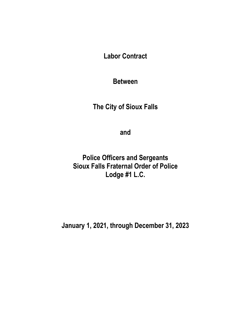**Labor Contract**

**Between**

**The City of Sioux Falls**

**and**

**Police Officers and Sergeants Sioux Falls Fraternal Order of Police Lodge #1 L.C.**

**January 1, 2021, through December 31, 2023**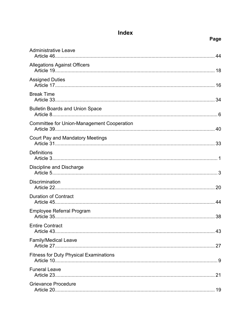# Index

| <b>Administrative Leave</b>                   |  |
|-----------------------------------------------|--|
| <b>Allegations Against Officers</b>           |  |
| <b>Assigned Duties</b>                        |  |
| <b>Break Time</b>                             |  |
| <b>Bulletin Boards and Union Space</b>        |  |
| Committee for Union-Management Cooperation    |  |
| <b>Court Pay and Mandatory Meetings</b>       |  |
| <b>Definitions</b>                            |  |
| <b>Discipline and Discharge</b>               |  |
| <b>Discrimination</b>                         |  |
| <b>Duration of Contract</b>                   |  |
| <b>Employee Referral Program</b>              |  |
| <b>Entire Contract</b><br>43<br>Article 43.   |  |
| <b>Family/Medical Leave</b>                   |  |
| <b>Fitness for Duty Physical Examinations</b> |  |
| <b>Funeral Leave</b>                          |  |
| <b>Grievance Procedure</b>                    |  |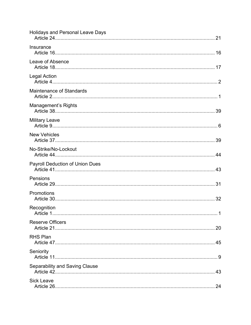| <b>Holidays and Personal Leave Days</b> |    |
|-----------------------------------------|----|
| Insurance                               |    |
| Leave of Absence                        |    |
| Legal Action                            |    |
| <b>Maintenance of Standards</b>         |    |
| Management's Rights                     |    |
| Military Leave                          |    |
| <b>New Vehicles</b>                     |    |
| No-Strike/No-Lockout                    |    |
| <b>Payroll Deduction of Union Dues</b>  |    |
| Pensions                                |    |
| Promotions                              |    |
| Recognition<br>Article 1                | 1  |
| <b>Reserve Officers</b>                 |    |
| <b>RHS Plan</b>                         |    |
| Seniority                               |    |
| <b>Separability and Saving Clause</b>   |    |
| <b>Sick Leave</b>                       | 24 |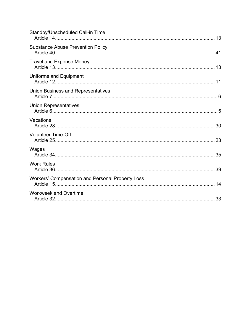| Standby/Unscheduled Call-in Time                 |  |
|--------------------------------------------------|--|
| <b>Substance Abuse Prevention Policy</b>         |  |
| <b>Travel and Expense Money</b>                  |  |
| Uniforms and Equipment                           |  |
| <b>Union Business and Representatives</b>        |  |
| <b>Union Representatives</b>                     |  |
| Vacations                                        |  |
| <b>Volunteer Time-Off</b>                        |  |
| Wages                                            |  |
| <b>Work Rules</b>                                |  |
| Workers' Compensation and Personal Property Loss |  |
| <b>Workweek and Overtime</b>                     |  |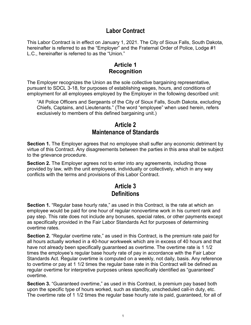## **Labor Contract**

This Labor Contract is in effect on January 1, 2021. The City of Sioux Falls, South Dakota, hereinafter is referred to as the "Employer" and the Fraternal Order of Police, Lodge #1 L.C., hereinafter is referred to as the "Union."

## **Article 1 Recognition**

The Employer recognizes the Union as the sole collective bargaining representative, pursuant to SDCL 3-18, for purposes of establishing wages, hours, and conditions of employment for all employees employed by the Employer in the following described unit:

"All Police Officers and Sergeants of the City of Sioux Falls, South Dakota, excluding Chiefs, Captains, and Lieutenants." (The word "employee" when used herein, refers exclusively to members of this defined bargaining unit.)

## **Article 2 Maintenance of Standards**

**Section 1.** The Employer agrees that no employee shall suffer any economic detriment by virtue of this Contract. Any disagreements between the parties in this area shall be subject to the grievance procedure.

**Section 2.** The Employer agrees not to enter into any agreements, including those provided by law, with the unit employees, individually or collectively, which in any way conflicts with the terms and provisions of this Labor Contract.

# **Article 3 Definitions**

**Section 1.** "Regular base hourly rate," as used in this Contract, is the rate at which an employee would be paid for one hour of regular nonovertime work in his current rank and pay step. This rate does not include any bonuses, special rates, or other payments except as specifically provided in the Fair Labor Standards Act for purposes of determining overtime rates.

**Section 2.** "Regular overtime rate," as used in this Contract, is the premium rate paid for all hours actually worked in a 40-hour workweek which are in excess of 40 hours and that have not already been specifically guaranteed as overtime. The overtime rate is 1 1/2 times the employee's regular base hourly rate of pay in accordance with the Fair Labor Standards Act. Regular overtime is computed on a weekly, not daily, basis. Any reference to overtime or pay at 1 1/2 times the regular base rate in this Contract will be defined as regular overtime for interpretive purposes unless specifically identified as "guaranteed" overtime.

**Section 3.** "Guaranteed overtime," as used in this Contract, is premium pay based both upon the specific type of hours worked, such as standby, unscheduled call-in duty, etc. The overtime rate of 1 1/2 times the regular base hourly rate is paid, guaranteed, for all of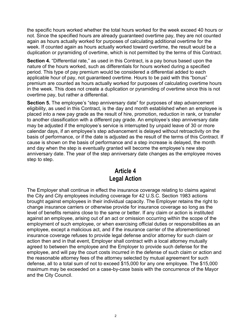the specific hours worked whether the total hours worked for the week exceed 40 hours or not. Since the specified hours are already guaranteed overtime pay, they are not counted again as hours actually worked for purposes of calculating additional overtime for the week. If counted again as hours actually worked toward overtime, the result would be a duplication or pyramiding of overtime, which is not permitted by the terms of this Contract.

**Section 4.** "Differential rate," as used in this Contract, is a pay bonus based upon the nature of the hours worked, such as differentials for hours worked during a specified period. This type of pay premium would be considered a differential added to each applicable hour of pay, not guaranteed overtime. Hours to be paid with this "bonus" premium are counted as hours actually worked for purposes of calculating overtime hours in the week. This does not create a duplication or pyramiding of overtime since this is not overtime pay, but rather a differential.

**Section 5.** The employee's "step anniversary date" for purposes of step advancement eligibility, as used in this Contract, is the day and month established when an employee is placed into a new pay grade as the result of hire, promotion, reduction in rank, or transfer to another classification with a different pay grade. An employee's step anniversary date may be adjusted if the employee's service is interrupted by unpaid leave of 30 or more calendar days, if an employee's step advancement is delayed without retroactivity on the basis of performance, or if the date is adjusted as the result of the terms of this Contract. If cause is shown on the basis of performance and a step increase is delayed, the month and day when the step is eventually granted will become the employee's new step anniversary date. The year of the step anniversary date changes as the employee moves step to step.

# **Article 4 Legal Action**

The Employer shall continue in effect the insurance coverage relating to claims against the City and City employees including coverage for 42 U.S.C. Section 1983 actions brought against employees in their individual capacity. The Employer retains the right to change insurance carriers or otherwise provide for insurance coverage so long as the level of benefits remains close to the same or better. If any claim or action is instituted against an employee, arising out of an act or omission occurring within the scope of the employment of such employee, or when exercising official duties or responsibilities as an employee, except a malicious act, and if the insurance carrier of the aforementioned insurance coverage refuses to provide legal defense and/or attorney for such claim or action then and in that event, Employer shall contract with a local attorney mutually agreed to between the employee and the Employer to provide such defense for the employee, and will pay the court costs incurred in the defense of such claim or action and the reasonable attorney fees of the attorney selected by mutual agreement for such defense, all to a total sum of not to exceed \$15,000 for any one employee. The \$15,000 maximum may be exceeded on a case-by-case basis with the concurrence of the Mayor and the City Council.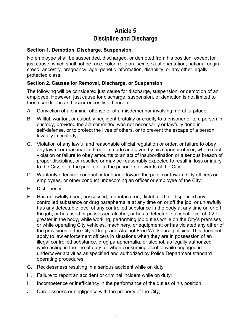# **Article 5 Discipline and Discharge**

## **Section 1. Demotion, Discharge, Suspension.**

No employee shall be suspended, discharged, or demoted from his position, except for just cause, which shall not be race, color, religion, sex, sexual orientation, national origin, creed, ancestry, pregnancy, age, genetic information, disability, or any other legally protected class.

### **Section 2. Causes for Removal, Discharge, or Suspension.**

The following will be considered just cause for discharge, suspension, or demotion of an employee. However, just cause for discharge, suspension, or demotion is not limited to those conditions and occurrences listed herein.

- A. Conviction of a criminal offense or of a misdemeanor involving moral turpitude;
- B. Willful, wanton, or culpably negligent brutality or cruelty to a prisoner or to a person in custody, provided the act committed was not necessarily or lawfully done in self-defense, or to protect the lives of others, or to prevent the escape of a person lawfully in custody;
- C. Violation of any lawful and reasonable official regulation or order, or failure to obey any lawful or reasonable direction made and given by his superior officer, where such violation or failure to obey amounts to an act of insubordination or a serious breach of proper discipline, or resulted or may be reasonably expected to result in loss or injury to the City, or to the public, or to the prisoners or wards of the City;
- D. Wantonly offensive conduct or language toward the public or toward City officers or employees, or other conduct unbecoming an officer or employee of the City;
- E. Dishonesty;
- F. Has unlawfully used, possessed, manufactured, distributed, or dispensed any controlled substance or drug paraphernalia at any time on or off the job, or unlawfully has any detectable level of any controlled substance in the body at any time on or off the job; or has used or possessed alcohol, or has a detectable alcohol level of .02 or greater in the body, while working, performing job duties while on the City's premises, or while operating City vehicles, machinery, or equipment; or has violated any other of the provisions of the City's Drug- and Alcohol-Free Workplace policies. This does not apply to law enforcement officers in situations when they are in possession of an illegal controlled substance, drug paraphernalia, or alcohol, as legally authorized while acting in the line of duty, or when consuming alcohol while engaged in undercover activities as specified and authorized by Police Department standard operating procedures;
- G. Recklessness resulting in a serious accident while on duty;
- H. Failure to report an accident or criminal incident while on duty;
- I. Incompetence or inefficiency in the performance of the duties of his position;
- J. Carelessness or negligence with the property of the City;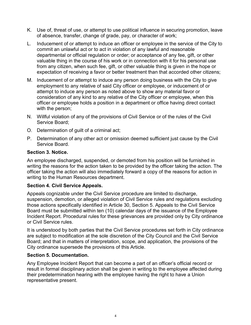- K. Use of, threat of use, or attempt to use political influence in securing promotion, leave of absence, transfer, change of grade, pay, or character of work;
- L. Inducement of or attempt to induce an officer or employee in the service of the City to commit an unlawful act or to act in violation of any lawful and reasonable departmental or official regulation or order; or acceptance of any fee, gift, or other valuable thing in the course of his work or in connection with it for his personal use from any citizen, when such fee, gift, or other valuable thing is given in the hope or expectation of receiving a favor or better treatment than that accorded other citizens;
- M. Inducement of or attempt to induce any person doing business with the City to give employment to any relative of said City officer or employee, or inducement of or attempt to induce any person as noted above to show any material favor or consideration of any kind to any relative of the City officer or employee, when this officer or employee holds a position in a department or office having direct contact with the person;
- N. Willful violation of any of the provisions of Civil Service or of the rules of the Civil Service Board;
- O. Determination of guilt of a criminal act;
- P. Determination of any other act or omission deemed sufficient just cause by the Civil Service Board.

### **Section 3. Notice.**

An employee discharged, suspended, or demoted from his position will be furnished in writing the reasons for the action taken to be provided by the officer taking the action. The officer taking the action will also immediately forward a copy of the reasons for action in writing to the Human Resources department.

#### **Section 4. Civil Service Appeals.**

Appeals cognizable under the Civil Service procedure are limited to discharge, suspension, demotion, or alleged violation of Civil Service rules and regulations excluding those actions specifically identified in Article 30, Section 5. Appeals to the Civil Service Board must be submitted within ten (10) calendar days of the issuance of the Employee Incident Report. Procedural rules for these grievances are provided only by City ordinance or Civil Service rules.

It is understood by both parties that the Civil Service procedures set forth in City ordinance are subject to modification at the sole discretion of the City Council and the Civil Service Board; and that in matters of interpretation, scope, and application, the provisions of the City ordinance supersede the provisions of this Article.

#### **Section 5. Documentation.**

Any Employee Incident Report that can become a part of an officer's official record or result in formal disciplinary action shall be given in writing to the employee affected during their predetermination hearing with the employee having the right to have a Union representative present.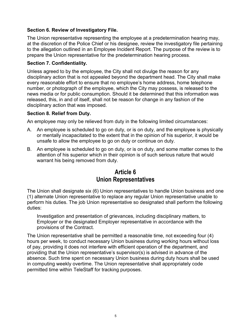### **Section 6. Review of Investigatory File.**

The Union representative representing the employee at a predetermination hearing may, at the discretion of the Police Chief or his designee, review the investigatory file pertaining to the allegation outlined in an Employee Incident Report. The purpose of the review is to prepare the Union representative for the predetermination hearing process.

### **Section 7. Confidentiality.**

Unless agreed to by the employee, the City shall not divulge the reason for any disciplinary action that is not appealed beyond the department head. The City shall make every reasonable effort to ensure that no employee's home address, home telephone number, or photograph of the employee, which the City may possess, is released to the news media or for public consumption. Should it be determined that this information was released, this, in and of itself, shall not be reason for change in any fashion of the disciplinary action that was imposed.

#### **Section 8. Relief from Duty.**

An employee may only be relieved from duty in the following limited circumstances:

- A. An employee is scheduled to go on duty, or is on duty, and the employee is physically or mentally incapacitated to the extent that in the opinion of his superior, it would be unsafe to allow the employee to go on duty or continue on duty.
- B. An employee is scheduled to go on duty, or is on duty, and some matter comes to the attention of his superior which in their opinion is of such serious nature that would warrant his being removed from duty.

# **Article 6 Union Representatives**

The Union shall designate six (6) Union representatives to handle Union business and one (1) alternate Union representative to replace any regular Union representative unable to perform his duties. The job Union representative so designated shall perform the following duties:

Investigation and presentation of grievances, including disciplinary matters, to Employer or the designated Employer representative in accordance with the provisions of the Contract.

The Union representative shall be permitted a reasonable time, not exceeding four (4) hours per week, to conduct necessary Union business during working hours without loss of pay, providing it does not interfere with efficient operation of the department, and providing that the Union representative's supervisor(s) is advised in advance of the absence. Such time spent on necessary Union business during duty hours shall be used in computing weekly overtime. The Union representative shall appropriately code permitted time within TeleStaff for tracking purposes.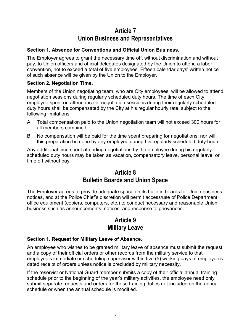# **Article 7 Union Business and Representatives**

## **Section 1. Absence for Conventions and Official Union Business.**

The Employer agrees to grant the necessary time off, without discrimination and without pay, to Union officers and official delegates designated by the Union to attend a labor convention, not to exceed a total of five employees. Fifteen calendar days' written notice of such absence will be given by the Union to the Employer.

## **Section 2. Negotiation Time.**

Members of the Union negotiating team, who are City employees, will be allowed to attend negotiation sessions during regularly scheduled duty hours. The time of each City employee spent on attendance at negotiation sessions during their regularly scheduled duty hours shall be compensated by the City at his regular hourly rate, subject to the following limitations:

- A. Total compensation paid to the Union negotiation team will not exceed 300 hours for all members combined.
- B. No compensation will be paid for the time spent preparing for negotiations, nor will this preparation be done by any employee during his regularly scheduled duty hours.

Any additional time spent attending negotiations by the employee during his regularly scheduled duty hours may be taken as vacation, compensatory leave, personal leave, or time off without pay.

## **Article 8 Bulletin Boards and Union Space**

The Employer agrees to provide adequate space on its bulletin boards for Union business notices, and at the Police Chief's discretion will permit access/use of Police Department office equipment (copiers, computers, etc.) to conduct necessary and reasonable Union business such as announcements, notices, and response to grievances.

# **Article 9 Military Leave**

## **Section 1. Request for Military Leave of Absence.**

An employee who wishes to be granted military leave of absence must submit the request and a copy of their official orders or other records from the military service to that employee's immediate or scheduling supervisor within five (5) working days of employee's dated receipt of orders unless notice is precluded by military necessity.

If the reservist or National Guard member submits a copy of their official annual training schedule prior to the beginning of the year's military activities, the employee need only submit separate requests and orders for those training duties not included on the annual schedule or when the annual schedule is modified.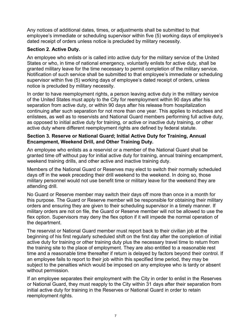Any notices of additional dates, times, or adjustments shall be submitted to that employee's immediate or scheduling supervisor within five (5) working days of employee's dated receipt of orders unless notice is precluded by military necessity.

## **Section 2. Active Duty.**

An employee who enlists or is called into active duty for the military service of the United States or who, in time of national emergency, voluntarily enlists for active duty, shall be granted military leave for the time necessary to permit completion of the military service. Notification of such service shall be submitted to that employee's immediate or scheduling supervisor within five (5) working days of employee's dated receipt of orders, unless notice is precluded by military necessity.

In order to have reemployment rights, a person leaving active duty in the military service of the United States must apply to the City for reemployment within 90 days after his separation from active duty, or within 90 days after his release from hospitalization continuing after such separation for not more than one year. This applies to inductees and enlistees, as well as to reservists and National Guard members performing full active duty, as opposed to initial active duty for training, or active or inactive duty training, or other active duty where different reemployment rights are defined by federal statute.

### **Section 3. Reserve or National Guard; Initial Active Duty for Training, Annual Encampment, Weekend Drill, and Other Training Duty.**

An employee who enlists as a reservist or a member of the National Guard shall be granted time off without pay for initial active duty for training, annual training encampment, weekend training drills, and other active and inactive training duty.

Members of the National Guard or Reserves may elect to switch their normally scheduled days off in the week preceding their drill weekend to the weekend. In doing so, those military personnel would not use benefit time or military leave for the weekend they are attending drill.

No Guard or Reserve member may switch their days off more than once in a month for this purpose. The Guard or Reserve member will be responsible for obtaining their military orders and ensuring they are given to their scheduling supervisor in a timely manner. If military orders are not on file, the Guard or Reserve member will not be allowed to use the flex option. Supervisors may deny the flex option if it will impede the normal operation of the department.

The reservist or National Guard member must report back to their civilian job at the beginning of his first regularly scheduled shift on the first day after the completion of initial active duty for training or other training duty plus the necessary travel time to return from the training site to the place of employment. They are also entitled to a reasonable rest time and a reasonable time thereafter if return is delayed by factors beyond their control. If an employee fails to report to their job within this specified time period, they may be subject to the penalties which would be imposed on any employee who is tardy or absent without permission.

If an employee separates their employment with the City in order to enlist in the Reserves or National Guard, they must reapply to the City within 31 days after their separation from initial active duty for training in the Reserves or National Guard in order to retain reemployment rights.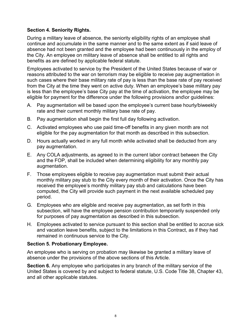### **Section 4. Seniority Rights.**

During a military leave of absence, the seniority eligibility rights of an employee shall continue and accumulate in the same manner and to the same extent as if said leave of absence had not been granted and the employee had been continuously in the employ of the City. An employee on military leave of absence shall be entitled to all rights and benefits as are defined by applicable federal statute.

Employees activated to service by the President of the United States because of war or reasons attributed to the war on terrorism may be eligible to receive pay augmentation in such cases where their base military rate of pay is less than the base rate of pay received from the City at the time they went on active duty. When an employee's base military pay is less than the employee's base City pay at the time of activation, the employee may be eligible for payment for the difference under the following provisions and\or guidelines:

- A. Pay augmentation will be based upon the employee's current base hourly/biweekly rate and their current monthly military base rate of pay.
- B. Pay augmentation shall begin the first full day following activation.
- C. Activated employees who use paid time-off benefits in any given month are not eligible for the pay augmentation for that month as described in this subsection.
- D. Hours actually worked in any full month while activated shall be deducted from any pay augmentation.
- E. Any COLA adjustments, as agreed to in the current labor contract between the City and the FOP, shall be included when determining eligibility for any monthly pay augmentation.
- F. Those employees eligible to receive pay augmentation must submit their actual monthly military pay stub to the City every month of their activation. Once the City has received the employee's monthly military pay stub and calculations have been computed, the City will provide such payment in the next available scheduled pay period.
- G. Employees who are eligible and receive pay augmentation, as set forth in this subsection, will have the employee pension contribution temporarily suspended only for purposes of pay augmentation as described in this subsection.
- H. Employees activated to service pursuant to this section shall be entitled to accrue sick and vacation leave benefits, subject to the limitations in this Contract, as if they had remained in continuous service to the City.

#### **Section 5. Probationary Employee.**

An employee who is serving on probation may likewise be granted a military leave of absence under the provisions of the above sections of this Article.

**Section 6.** Any employee who participates in any branch of the military service of the United States is covered by and subject to federal statute, U.S. Code Title 38, Chapter 43, and all other applicable statutes.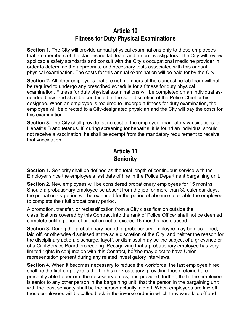# **Article 10 Fitness for Duty Physical Examinations**

**Section 1.** The City will provide annual physical examinations only to those employees that are members of the clandestine lab team and arson investigators. The City will review applicable safety standards and consult with the City's occupational medicine provider in order to determine the appropriate and necessary tests associated with this annual physical examination. The costs for this annual examination will be paid for by the City.

**Section 2.** All other employees that are not members of the clandestine lab team will not be required to undergo any prescribed schedule for a fitness for duty physical examination. Fitness for duty physical examinations will be completed on an individual asneeded basis and shall be conducted at the sole discretion of the Police Chief or his designee. When an employee is required to undergo a fitness for duty examination, the employee will be directed to a City-designated physician and the City will pay the costs for this examination.

**Section 3.** The City shall provide, at no cost to the employee, mandatory vaccinations for Hepatitis B and tetanus. If, during screening for hepatitis, it is found an individual should not receive a vaccination, he shall be exempt from the mandatory requirement to receive that vaccination.

# **Article 11 Seniority**

**Section 1.** Seniority shall be defined as the total length of continuous service with the Employer since the employee's last date of hire in the Police Department bargaining unit.

**Section 2.** New employees will be considered probationary employees for 15 months. Should a probationary employee be absent from the job for more than 30 calendar days, the probationary period will be extended for the period of absence to enable the employee to complete their full probationary period.

A promotion, transfer, or reclassification from a City classification outside the classifications covered by this Contract into the rank of Police Officer shall not be deemed complete until a period of probation not to exceed 15 months has elapsed.

**Section 3.** During the probationary period, a probationary employee may be disciplined, laid off, or otherwise dismissed at the sole discretion of the City, and neither the reason for the disciplinary action, discharge, layoff, or dismissal may be the subject of a grievance or of a Civil Service Board proceeding. Recognizing that a probationary employee has very limited rights in conjunction with this Contract, he/she may elect to have Union representation present during any related investigatory interviews.

**Section 4.** When it becomes necessary to reduce the workforce, the last employee hired shall be the first employee laid off in his rank category, providing those retained are presently able to perform the necessary duties, and provided, further, that if the employee is senior to any other person in the bargaining unit, that the person in the bargaining unit with the least seniority shall be the person actually laid off. When employees are laid off, those employees will be called back in the inverse order in which they were laid off and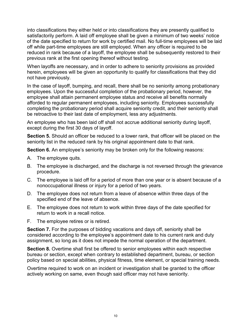into classifications they either held or into classifications they are presently qualified to satisfactorily perform. A laid off employee shall be given a minimum of two weeks' notice of the date specified to return for work by certified mail. No full-time employees will be laid off while part-time employees are still employed. When any officer is required to be reduced in rank because of a layoff, the employee shall be subsequently restored to their previous rank at the first opening thereof without testing.

When layoffs are necessary, and in order to adhere to seniority provisions as provided herein, employees will be given an opportunity to qualify for classifications that they did not have previously.

In the case of layoff, bumping, and recall, there shall be no seniority among probationary employees. Upon the successful completion of the probationary period, however, the employee shall attain permanent employee status and receive all benefits normally afforded to regular permanent employees, including seniority. Employees successfully completing the probationary period shall acquire seniority credit, and their seniority shall be retroactive to their last date of employment, less any adjustments.

An employee who has been laid off shall not accrue additional seniority during layoff, except during the first 30 days of layoff.

**Section 5.** Should an officer be reduced to a lower rank, that officer will be placed on the seniority list in the reduced rank by his original appointment date to that rank.

**Section 6.** An employee's seniority may be broken only for the following reasons:

- A. The employee quits.
- B. The employee is discharged, and the discharge is not reversed through the grievance procedure.
- C. The employee is laid off for a period of more than one year or is absent because of a nonoccupational illness or injury for a period of two years.
- D. The employee does not return from a leave of absence within three days of the specified end of the leave of absence.
- E. The employee does not return to work within three days of the date specified for return to work in a recall notice.
- F. The employee retires or is retired.

**Section 7.** For the purposes of bidding vacations and days off, seniority shall be considered according to the employee's appointment date to his current rank and duty assignment, so long as it does not impede the normal operation of the department.

**Section 8.** Overtime shall first be offered to senior employees within each respective bureau or section, except when contrary to established department, bureau, or section policy based on special abilities, physical fitness, time element, or special training needs.

Overtime required to work on an incident or investigation shall be granted to the officer actively working on same, even though said officer may not have seniority.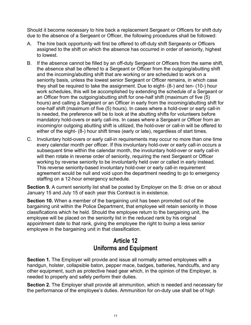Should it become necessary to hire back a replacement Sergeant or Officers for shift duty due to the absence of a Sergeant or Officer, the following procedures shall be followed:

- A. The hire back opportunity will first be offered to off-duty shift Sergeants or Officers assigned to the shift on which the absence has occurred in order of seniority, highest to lowest.
- B. If the absence cannot be filled by an off-duty Sergeant or Officers from the same shift, the absence shall be offered to a Sergeant or Officer from the outgoing/abutting shift and the incoming/abutting shift that are working or are scheduled to work on a seniority basis, unless the lowest senior Sergeant or Officer remains, in which case they shall be required to take the assignment. Due to eight- (8-) and ten- (10-) hour work schedules, this will be accomplished by extending the schedule of a Sergeant or an Officer from the outgoing/abutting shift for one-half shift (maximum of five (5) hours) and calling a Sergeant or an Officer in early from the incoming/abutting shift for one-half shift (maximum of five (5) hours). In cases where a hold-over or early call-in is needed, the preference will be to look at the abutting shifts for volunteers before mandatory hold-overs or early call-ins. In cases where a Sergeant or Officer from an incoming/or outgoing abutting shift is utilized, the hold-over or call-in will be offered to either of the eight- (8-) hour shift times (early or late), regardless of start times.
- C. Involuntary hold-overs or early call-in requirements may occur no more than one time every calendar month per officer. If this involuntary hold-over or early call-in occurs a subsequent time within the calendar month, the involuntary hold-over or early call-in will then rotate in reverse order of seniority, requiring the next Sergeant or Officer working by reverse seniority to be involuntarily held over or called in early instead. This reverse seniority-based involuntary hold-over or early call-in requirement agreement would be null and void upon the department needing to go to emergency staffing on a 12-hour emergency schedule.

**Section 9.** A current seniority list shall be posted by Employer on the S: drive on or about January 15 and July 15 of each year this Contract is in existence.

**Section 10.** When a member of the bargaining unit has been promoted out of the bargaining unit within the Police Department, that employee will retain seniority in those classifications which he held. Should the employee return to the bargaining unit, the employee will be placed on the seniority list in the reduced rank by his original appointment date to that rank, giving the employee the right to bump a less senior employee in the bargaining unit in that classification.

# **Article 12 Uniforms and Equipment**

**Section 1.** The Employer will provide and issue all normally armed employees with a handgun, holster, collapsible baton, pepper mace, badges, batteries, handcuffs, and any other equipment, such as protective head gear which, in the opinion of the Employer, is needed to properly and safely perform their duties.

**Section 2.** The Employer shall provide all ammunition, which is needed and necessary for the performance of the employee's duties. Ammunition for on-duty use shall be of high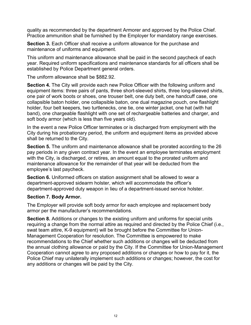quality as recommended by the department Armorer and approved by the Police Chief. Practice ammunition shall be furnished by the Employer for mandatory range exercises.

**Section 3.** Each Officer shall receive a uniform allowance for the purchase and maintenance of uniforms and equipment.

This uniform and maintenance allowance shall be paid in the second paycheck of each year. Required uniform specifications and maintenance standards for all officers shall be established by Police Department general orders.

The uniform allowance shall be \$882.92.

**Section 4.** The City will provide each new Police Officer with the following uniform and equipment items: three pairs of pants, three short-sleeved shirts, three long-sleeved shirts, one pair of work boots or shoes, one trouser belt, one duty belt, one handcuff case, one collapsible baton holder, one collapsible baton, one dual magazine pouch, one flashlight holder, four belt keepers, two turtlenecks, one tie, one winter jacket, one hat (with hat band), one chargeable flashlight with one set of rechargeable batteries and charger, and soft body armor (which is less than five years old).

In the event a new Police Officer terminates or is discharged from employment with the City during his probationary period, the uniform and equipment items as provided above shall be returned to the City.

**Section 5.** The uniform and maintenance allowance shall be prorated according to the 26 pay periods in any given contract year. In the event an employee terminates employment with the City, is discharged, or retires, an amount equal to the prorated uniform and maintenance allowance for the remainder of that year will be deducted from the employee's last paycheck.

**Section 6.** Uniformed officers on station assignment shall be allowed to wear a department-approved sidearm holster, which will accommodate the officer's department-approved duty weapon in lieu of a department-issued service holster.

#### **Section 7. Body Armor.**

The Employer will provide soft body armor for each employee and replacement body armor per the manufacturer's recommendations.

**Section 8.** Additions or changes to the existing uniform and uniforms for special units requiring a change from the normal attire as required and directed by the Police Chief (i.e., swat team attire, K-9 equipment) will be brought before the Committee for Union-Management Cooperation for resolution. The Committee is empowered to make recommendations to the Chief whether such additions or changes will be deducted from the annual clothing allowance or paid by the City. If the Committee for Union-Management Cooperation cannot agree to any proposed additions or changes or how to pay for it, the Police Chief may unilaterally implement such additions or changes; however, the cost for any additions or changes will be paid by the City.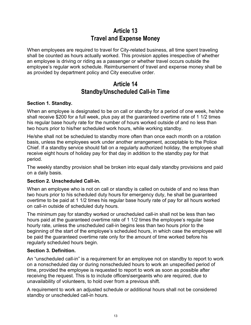# **Article 13 Travel and Expense Money**

When employees are required to travel for City-related business, all time spent traveling shall be counted as hours actually worked. This provision applies irrespective of whether an employee is driving or riding as a passenger or whether travel occurs outside the employee's regular work schedule. Reimbursement of travel and expense money shall be as provided by department policy and City executive order.

## **Article 14 Standby/Unscheduled Call-in Time**

## **Section 1. Standby.**

When an employee is designated to be on call or standby for a period of one week, he/she shall receive \$200 for a full week, plus pay at the guaranteed overtime rate of 1 1/2 times his regular base hourly rate for the number of hours worked outside of and no less than two hours prior to his/her scheduled work hours, while working standby.

He/she shall not be scheduled to standby more often than once each month on a rotation basis, unless the employees work under another arrangement, acceptable to the Police Chief. If a standby service should fall on a regularly authorized holiday, the employee shall receive eight hours of holiday pay for that day in addition to the standby pay for that period.

The weekly standby provision shall be broken into equal daily standby provisions and paid on a daily basis.

## **Section 2. Unscheduled Call-in.**

When an employee who is not on call or standby is called on outside of and no less than two hours prior to his scheduled duty hours for emergency duty, he shall be guaranteed overtime to be paid at 1 1/2 times his regular base hourly rate of pay for all hours worked on call-in outside of scheduled duty hours.

The minimum pay for standby worked or unscheduled call-in shall not be less than two hours paid at the guaranteed overtime rate of 1 1/2 times the employee's regular base hourly rate, unless the unscheduled call-in begins less than two hours prior to the beginning of the start of the employee's scheduled hours, in which case the employee will be paid the guaranteed overtime rate only for the amount of time worked before his regularly scheduled hours begin.

## **Section 3. Definition.**

An "unscheduled call-in" is a requirement for an employee not on standby to report to work on a nonscheduled day or during nonscheduled hours to work an unspecified period of time, provided the employee is requested to report to work as soon as possible after receiving the request. This is to include officers\sergeants who are required, due to unavailability of volunteers, to hold over from a previous shift.

A requirement to work an adjusted schedule or additional hours shall not be considered standby or unscheduled call-in hours.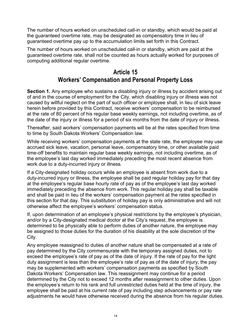The number of hours worked on unscheduled call-in or standby, which would be paid at the guaranteed overtime rate, may be designated as compensatory time in lieu of guaranteed overtime pay up to the accumulation limits set forth in this Contract.

The number of hours worked on unscheduled call-in or standby, which are paid at the guaranteed overtime rate, shall not be counted as hours actually worked for purposes of computing additional regular overtime.

# **Article 15 Workers' Compensation and Personal Property Loss**

**Section 1.** Any employee who sustains a disabling injury or illness by accident arising out of and in the course of employment for the City, which disabling injury or illness was not caused by willful neglect on the part of such officer or employee shall, in lieu of sick leave herein before provided by this Contract, receive workers' compensation to be reimbursed at the rate of 80 percent of his regular base weekly earnings, not including overtime, as of the date of the injury or illness for a period of six months from the date of injury or illness.

Thereafter, said workers' compensation payments will be at the rates specified from time to time by South Dakota Workers' Compensation law.

While receiving workers' compensation payments at the state rate, the employee may use accrued sick leave, vacation, personal leave, compensatory time, or other available paid time-off benefits to maintain regular base weekly earnings, not including overtime, as of the employee's last day worked immediately preceding the most recent absence from work due to a duty-incurred injury or illness.

If a City-designated holiday occurs while an employee is absent from work due to a duty-incurred injury or illness, the employee shall be paid regular holiday pay for that day at the employee's regular base hourly rate of pay as of the employee's last day worked immediately preceding the absence from work. This regular holiday pay shall be taxable and shall be paid in lieu of the workers' compensation payment at the rates specified in this section for that day. This substitution of holiday pay is only administrative and will not otherwise affect the employee's workers' compensation status.

If, upon determination of an employee's physical restrictions by the employee's physician, and/or by a City-designated medical doctor at the City's request, the employee is determined to be physically able to perform duties of another nature, the employee may be assigned to those duties for the duration of his disability at the sole discretion of the City.

Any employee reassigned to duties of another nature shall be compensated at a rate of pay determined by the City commensurate with the temporary assigned duties, not to exceed the employee's rate of pay as of the date of injury. If the rate of pay for the light duty assignment is less than the employee's rate of pay as of the date of injury, the pay may be supplemented with workers' compensation payments as specified by South Dakota Workers' Compensation law. This reassignment may continue for a period determined by the City not to exceed 12 months after reassignment to other duties. Upon the employee's return to his rank and full unrestricted duties held at the time of injury, the employee shall be paid at his current rate of pay including step advancements or pay rate adjustments he would have otherwise received during the absence from his regular duties.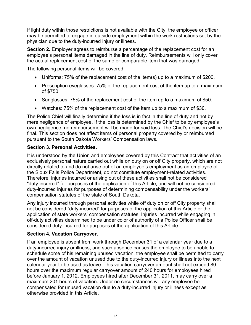If light duty within those restrictions is not available with the City, the employee or officer may be permitted to engage in outside employment within the work restrictions set by the physician due to the duty-incurred injury or illness.

**Section 2.** Employer agrees to reimburse a percentage of the replacement cost for an employee's personal items damaged in the line of duty. Reimbursements will only cover the actual replacement cost of the same or comparable item that was damaged.

The following personal items will be covered:

- Uniforms: 75% of the replacement cost of the item(s) up to a maximum of \$200.
- Prescription eyeglasses: 75% of the replacement cost of the item up to a maximum of \$750.
- Sunglasses: 75% of the replacement cost of the item up to a maximum of \$50.
- Watches: 75% of the replacement cost of the item up to a maximum of \$30.

The Police Chief will finally determine if the loss is in fact in the line of duty and not by mere negligence of employee. If the loss is determined by the Chief to be by employee's own negligence, no reimbursement will be made for said loss. The Chief's decision will be final. This section does not affect items of personal property covered by or reimbursed pursuant to the South Dakota Workers' Compensation laws.

### **Section 3. Personal Activities.**

It is understood by the Union and employees covered by this Contract that activities of an exclusively personal nature carried out while on duty on or off City property, which are not directly related to and do not arise out of an employee's employment as an employee of the Sioux Falls Police Department, do not constitute employment-related activities. Therefore, injuries incurred or arising out of these activities shall not be considered "duty-incurred" for purposes of the application of this Article, and will not be considered duty-incurred injuries for purposes of determining compensability under the workers' compensation statutes of the state of South Dakota.

Any injury incurred through personal activities while off duty on or off City property shall not be considered "duty-incurred" for purposes of the application of this Article or the application of state workers' compensation statutes. Injuries incurred while engaging in off-duty activities determined to be under color of authority of a Police Officer shall be considered duty-incurred for purposes of the application of this Article.

#### **Section 4. Vacation Carryover.**

If an employee is absent from work through December 31 of a calendar year due to a duty-incurred injury or illness, and such absence causes the employee to be unable to schedule some of his remaining unused vacation, the employee shall be permitted to carry over the amount of vacation unused due to the duty-incurred injury or illness into the next calendar year to be used as leave. This vacation carryover amount shall not exceed 80 hours over the maximum regular carryover amount of 240 hours for employees hired before January 1, 2012. Employees hired after December 31, 2011, may carry over a maximum 201 hours of vacation. Under no circumstances will any employee be compensated for unused vacation due to a duty-incurred injury or illness except as otherwise provided in this Article.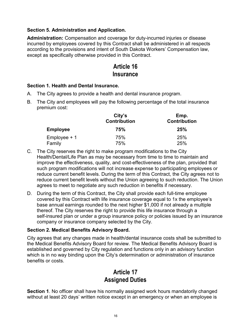## **Section 5. Administration and Application.**

**Administration:** Compensation and coverage for duty-incurred injuries or disease incurred by employees covered by this Contract shall be administered in all respects according to the provisions and intent of South Dakota Workers' Compensation law, except as specifically otherwise provided in this Contract.

## **Article 16 Insurance**

### **Section 1. Health and Dental Insurance.**

- A. The City agrees to provide a health and dental insurance program.
- B. The City and employees will pay the following percentage of the total insurance premium cost:

|                 | City's<br><b>Contribution</b> | Emp.<br><b>Contribution</b> |  |  |
|-----------------|-------------------------------|-----------------------------|--|--|
| <b>Employee</b> | 75%                           | 25%                         |  |  |
| $Employee + 1$  | 75%                           | 25%                         |  |  |
| Family          | 75%                           | 25%                         |  |  |

- C. The City reserves the right to make program modifications to the City Health/Dental/Life Plan as may be necessary from time to time to maintain and improve the effectiveness, quality, and cost-effectiveness of the plan, provided that such program modifications will not increase expense to participating employees or reduce current benefit levels. During the term of this Contract, the City agrees not to reduce current benefit levels without the Union agreeing to such reduction. The Union agrees to meet to negotiate any such reduction in benefits if necessary.
- D. During the term of this Contract, the City shall provide each full-time employee covered by this Contract with life insurance coverage equal to 1x the employee's base annual earnings rounded to the next higher \$1,000 if not already a multiple thereof. The City reserves the right to provide this life insurance through a self-insured plan or under a group insurance policy or policies issued by an insurance company or insurance company selected by the City.

## **Section 2. Medical Benefits Advisory Board.**

City agrees that any changes made in health/dental insurance costs shall be submitted to the Medical Benefits Advisory Board for review. The Medical Benefits Advisory Board is established and governed by City regulation and functions only in an advisory function which is in no way binding upon the City's determination or administration of insurance benefits or costs.

# **Article 17 Assigned Duties**

**Section 1**. No officer shall have his normally assigned work hours mandatorily changed without at least 20 days' written notice except in an emergency or when an employee is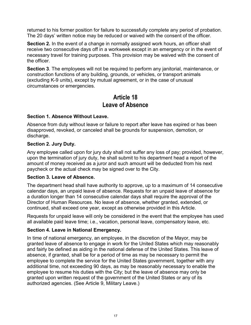returned to his former position for failure to successfully complete any period of probation. The 20 days' written notice may be reduced or waived with the consent of the officer.

**Section 2.** In the event of a change in normally assigned work hours, an officer shall receive two consecutive days off in a workweek except in an emergency or in the event of necessary travel for training purposes. This provision may be waived with the consent of the officer.

**Section 3**. The employees will not be required to perform any janitorial, maintenance, or construction functions of any building, grounds, or vehicles, or transport animals (excluding K-9 units), except by mutual agreement, or in the case of unusual circumstances or emergencies.

## **Article 18 Leave of Absence**

### **Section 1. Absence Without Leave.**

Absence from duty without leave or failure to report after leave has expired or has been disapproved, revoked, or canceled shall be grounds for suspension, demotion, or discharge.

## **Section 2. Jury Duty.**

Any employee called upon for jury duty shall not suffer any loss of pay; provided, however, upon the termination of jury duty, he shall submit to his department head a report of the amount of money received as a juror and such amount will be deducted from his next paycheck or the actual check may be signed over to the City.

#### **Section 3. Leave of Absence.**

The department head shall have authority to approve, up to a maximum of 14 consecutive calendar days, an unpaid leave of absence. Requests for an unpaid leave of absence for a duration longer than 14 consecutive calendar days shall require the approval of the Director of Human Resources. No leave of absence, whether granted, extended, or continued, shall exceed one year, except as otherwise provided in this Article.

Requests for unpaid leave will only be considered in the event that the employee has used all available paid leave time; i.e., vacation, personal leave, compensatory leave, etc.

## **Section 4. Leave in National Emergency.**

In time of national emergency, an employee, in the discretion of the Mayor, may be granted leave of absence to engage in work for the United States which may reasonably and fairly be defined as aiding in the national defense of the United States. This leave of absence, if granted, shall be for a period of time as may be necessary to permit the employee to complete the service for the United States government, together with any additional time, not exceeding 90 days, as may be reasonably necessary to enable the employee to resume his duties with the City; but the leave of absence may only be granted upon written request of the government of the United States or any of its authorized agencies. (See Article 9, Military Leave.)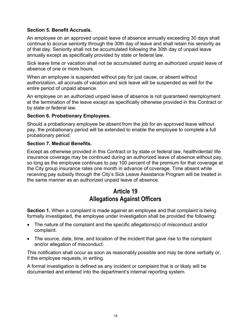### **Section 5. Benefit Accruals.**

An employee on an approved unpaid leave of absence annually exceeding 30 days shall continue to accrue seniority through the 30th day of leave and shall retain his seniority as of that day. Seniority shall not be accumulated following the 30th day of unpaid leave annually except as specifically provided by state or federal law.

Sick leave time or vacation shall not be accumulated during an authorized unpaid leave of absence of one or more hours.

When an employee is suspended without pay for just cause, or absent without authorization, all accruals of vacation and sick leave will be suspended as well for the entire period of unpaid absence.

An employee on an authorized unpaid leave of absence is not guaranteed reemployment at the termination of the leave except as specifically otherwise provided in this Contract or by state or federal law.

#### **Section 6. Probationary Employees.**

Should a probationary employee be absent from the job for an approved leave without pay, the probationary period will be extended to enable the employee to complete a full probationary period.

#### **Section 7. Medical Benefits.**

Except as otherwise provided in this Contract or by state or federal law, health/dental/ life insurance coverage may be continued during an authorized leave of absence without pay, so long as the employee continues to pay 100 percent of the premium for that coverage at the City group insurance rates one month in advance of coverage. Time absent while receiving pay subsidy through the City's Sick Leave Assistance Program will be treated in the same manner as an authorized unpaid leave of absence.

# **Article 19 Allegations Against Officers**

**Section 1.** When a complaint is made against an employee and that complaint is being formally investigated, the employee under investigation shall be provided the following:

- The nature of the complaint and the specific allegations(s) of misconduct and/or complaint.
- The source, date, time, and location of the incident that gave rise to the complaint and/or allegation of misconduct.

This notification shall occur as soon as reasonably possible and may be done verbally or, if the employee requests, in writing.

A formal investigation is defined as any incident or complaint that is or likely will be documented and entered into the department's internal reporting system.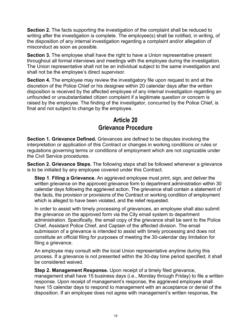**Section 2.** The facts supporting the investigation of the complaint shall be reduced to writing after the investigation is complete. The employee(s) shall be notified, in writing, of the disposition of any internal investigation regarding a complaint and/or allegation of misconduct as soon as possible.

**Section 3.** The employee shall have the right to have a Union representative present throughout all formal interviews and meetings with the employee during the investigation. The Union representative shall not be an individual subject to the same investigation and shall not be the employee's direct supervisor.

**Section 4.** The employee may review the investigatory file upon request to and at the discretion of the Police Chief or his designee within 20 calendar days after the written disposition is received by the affected employee of any internal investigation regarding an unfounded or unsubstantiated citizen complaint if a legitimate question or concern is raised by the employee. The finding of the investigator, concurred by the Police Chief, is final and not subject to change by the employee.

# **Article 20 Grievance Procedure**

**Section 1. Grievance Defined.** Grievances are defined to be disputes involving the interpretation or application of this Contract or changes in working conditions or rules or regulations governing terms or conditions of employment which are not cognizable under the Civil Service procedures.

**Section 2. Grievance Steps.** The following steps shall be followed whenever a grievance is to be initiated by any employee covered under this Contract.

**Step 1**. **Filing a Grievance.** An aggrieved employee must print, sign, and deliver the written grievance on the approved grievance form to department administration within 30 calendar days following the aggrieved action. The grievance shall contain a statement of the facts, the provision or provisions of the Contract or working condition of employment which is alleged to have been violated, and the relief requested.

In order to assist with timely processing of grievances, an employee shall also submit the grievance on the approved form via the City email system to department administration. Specifically, the email copy of the grievance shall be sent to the Police Chief, Assistant Police Chief, and Captain of the affected division. The email submission of a grievance is intended to assist with timely processing and does not constitute an official filing for purposes of meeting the 30-calendar day limitation for filing a grievance.

An employee may consult with the local Union representative anytime during this process. If a grievance is not presented within the 30-day time period specified, it shall be considered waived.

**Step 2. Management Response.** Upon receipt of a timely filed grievance, management shall have 15 business days (i.e., Monday through Friday) to file a written response. Upon receipt of management's response, the aggrieved employee shall have 15 calendar days to respond to management with an acceptance or denial of the disposition. If an employee does not agree with management's written response, the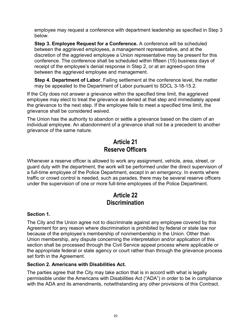employee may request a conference with department leadership as specified in Step 3 below.

**Step 3. Employee Request for a Conference.** A conference will be scheduled between the aggrieved employees, a management representative, and at the discretion of the aggrieved employee a Union representative may be present for this conference. The conference shall be scheduled within fifteen (15) business days of receipt of the employee's denial response in Step 2, or at an agreed-upon time between the aggrieved employee and management.

**Step 4. Department of Labor.** Failing settlement at the conference level, the matter may be appealed to the Department of Labor pursuant to SDCL 3-18-15.2.

If the City does not answer a grievance within the specified time limit, the aggrieved employee may elect to treat the grievance as denied at that step and immediately appeal the grievance to the next step. If the employee fails to meet a specified time limit, the grievance shall be considered waived.

The Union has the authority to abandon or settle a grievance based on the claim of an individual employee. An abandonment of a grievance shall not be a precedent to another grievance of the same nature.

# **Article 21 Reserve Officers**

Whenever a reserve officer is allowed to work any assignment, vehicle, area, street, or guard duty with the department, the work will be performed under the direct supervision of a full-time employee of the Police Department, except in an emergency. In events where traffic or crowd control is needed, such as parades, there may be several reserve officers under the supervision of one or more full-time employees of the Police Department.

# **Article 22 Discrimination**

## **Section 1.**

The City and the Union agree not to discriminate against any employee covered by this Agreement for any reason where discrimination is prohibited by federal or state law nor because of the employee's membership of nonmembership in the Union. Other than Union membership, any dispute concerning the interpretation and/or application of this section shall be processed through the Civil Service appeal process where applicable or the appropriate federal or state agency or court rather than through the grievance process set forth in the Agreement.

## **Section 2. Americans with Disabilities Act.**

The parties agree that the City may take action that is in accord with what is legally permissible under the Americans with Disabilities Act ("ADA") in order to be in compliance with the ADA and its amendments, notwithstanding any other provisions of this Contract.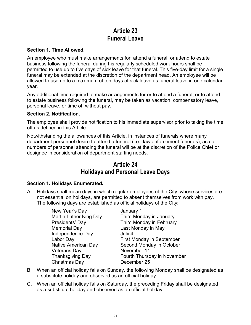# **Article 23 Funeral Leave**

### **Section 1. Time Allowed.**

An employee who must make arrangements for, attend a funeral, or attend to estate business following the funeral during his regularly scheduled work hours shall be permitted to use up to five days of sick leave for that funeral. This five-day limit for a single funeral may be extended at the discretion of the department head. An employee will be allowed to use up to a maximum of ten days of sick leave as funeral leave in one calendar year.

Any additional time required to make arrangements for or to attend a funeral, or to attend to estate business following the funeral, may be taken as vacation, compensatory leave, personal leave, or time off without pay.

### **Section 2. Notification.**

The employee shall provide notification to his immediate supervisor prior to taking the time off as defined in this Article.

Notwithstanding the allowances of this Article, in instances of funerals where many department personnel desire to attend a funeral (i.e., law enforcement funerals), actual numbers of personnel attending the funeral will be at the discretion of the Police Chief or designee in consideration of department staffing needs.

## **Article 24 Holidays and Personal Leave Days**

## **Section 1. Holidays Enumerated.**

A. Holidays shall mean days in which regular employees of the City, whose services are not essential on holidays, are permitted to absent themselves from work with pay. The following days are established as official holidays of the City:

> New Year's Day January 1 Memorial Day **Last Monday in May** Independence Day **July 4** Veterans Day November 11 Christmas Day December 25

Martin Luther King Day Third Monday in January Presidents' Day Third Monday in February Labor Day **First Monday** in September Native American Day Second Monday in October Thanksgiving Day Fourth Thursday in November

- B. When an official holiday falls on Sunday, the following Monday shall be designated as a substitute holiday and observed as an official holiday.
- C. When an official holiday falls on Saturday, the preceding Friday shall be designated as a substitute holiday and observed as an official holiday.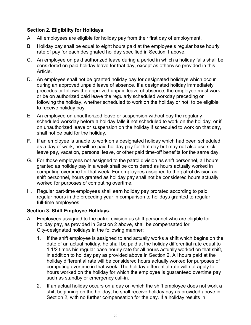## **Section 2. Eligibility for Holidays.**

- A. All employees are eligible for holiday pay from their first day of employment.
- B. Holiday pay shall be equal to eight hours paid at the employee's regular base hourly rate of pay for each designated holiday specified in Section 1 above.
- C. An employee on paid authorized leave during a period in which a holiday falls shall be considered on paid holiday leave for that day, except as otherwise provided in this Article.
- D. An employee shall not be granted holiday pay for designated holidays which occur during an approved unpaid leave of absence. If a designated holiday immediately precedes or follows the approved unpaid leave of absence, the employee must work or be on authorized paid leave the regularly scheduled workday preceding or following the holiday, whether scheduled to work on the holiday or not, to be eligible to receive holiday pay.
- E. An employee on unauthorized leave or suspension without pay the regularly scheduled workday before a holiday falls if not scheduled to work on the holiday, or if on unauthorized leave or suspension on the holiday if scheduled to work on that day, shall not be paid for the holiday.
- F. If an employee is unable to work on a designated holiday which had been scheduled as a day of work, he will be paid holiday pay for that day but may not also use sick leave pay, vacation, personal leave, or other paid time-off benefits for the same day.
- G. For those employees not assigned to the patrol division as shift personnel, all hours granted as holiday pay in a week shall be considered as hours actually worked in computing overtime for that week. For employees assigned to the patrol division as shift personnel, hours granted as holiday pay shall not be considered hours actually worked for purposes of computing overtime.
- H. Regular part-time employees shall earn holiday pay prorated according to paid regular hours in the preceding year in comparison to holidays granted to regular full-time employees.

## **Section 3. Shift Employee Holidays.**

- A. Employees assigned to the patrol division as shift personnel who are eligible for holiday pay, as provided in Section 2 above, shall be compensated for City-designated holidays in the following manner:
	- 1. If the shift employee is assigned to and actually works a shift which begins on the date of an actual holiday, he shall be paid at the holiday differential rate equal to 1 1/2 times his regular base hourly rate for all hours actually worked on that shift, in addition to holiday pay as provided above in Section 2. All hours paid at the holiday differential rate will be considered hours actually worked for purposes of computing overtime in that week. The holiday differential rate will not apply to hours worked on the holiday for which the employee is guaranteed overtime pay such as standby or emergency call-in.
	- 2. If an actual holiday occurs on a day on which the shift employee does not work a shift beginning on the holiday, he shall receive holiday pay as provided above in Section 2, with no further compensation for the day. If a holiday results in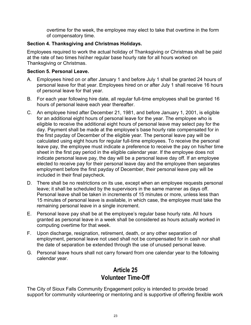overtime for the week, the employee may elect to take that overtime in the form of compensatory time.

## **Section 4. Thanksgiving and Christmas Holidays.**

Employees required to work the actual holiday of Thanksgiving or Christmas shall be paid at the rate of two times his\her regular base hourly rate for all hours worked on Thanksgiving or Christmas.

## **Section 5. Personal Leave.**

- A. Employees hired on or after January 1 and before July 1 shall be granted 24 hours of personal leave for that year. Employees hired on or after July 1 shall receive 16 hours of personal leave for that year.
- B. For each year following hire date, all regular full-time employees shall be granted 16 hours of personal leave each year thereafter.
- C. An employee hired after December 21, 1981, and before January 1, 2001, is eligible for an additional eight hours of personal leave for the year. The employee who is eligible to receive the additional eight hours of personal leave may select pay for the day. Payment shall be made at the employee's base hourly rate compensated for in the first payday of December of the eligible year. The personal leave pay will be calculated using eight hours for regular full-time employees. To receive the personal leave pay, the employee must indicate a preference to receive the pay on his/her time sheet in the first pay period in the eligible calendar year. If the employee does not indicate personal leave pay, the day will be a personal leave day off. If an employee elected to receive pay for their personal leave day and the employee then separates employment before the first payday of December, their personal leave pay will be included in their final paycheck.
- D. There shall be no restrictions on its use, except when an employee requests personal leave; it shall be scheduled by the supervisors in the same manner as days off. Personal leave shall be taken in increments of 15 minutes or more, unless less than 15 minutes of personal leave is available, in which case, the employee must take the remaining personal leave in a single increment.
- E. Personal leave pay shall be at the employee's regular base hourly rate. All hours granted as personal leave in a week shall be considered as hours actually worked in computing overtime for that week.
- F. Upon discharge, resignation, retirement, death, or any other separation of employment, personal leave not used shall not be compensated for in cash nor shall the date of separation be extended through the use of unused personal leave.
- G. Personal leave hours shall not carry forward from one calendar year to the following calendar year.

# **Article 25 Volunteer Time-Off**

The City of Sioux Falls Community Engagement policy is intended to provide broad support for community volunteering or mentoring and is supportive of offering flexible work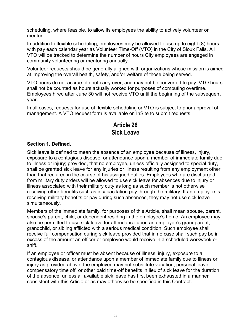scheduling, where feasible, to allow its employees the ability to actively volunteer or mentor.

In addition to flexible scheduling, employees may be allowed to use up to eight (8) hours with pay each calendar year as Volunteer Time-Off (VTO) in the City of Sioux Falls. All VTO will be tracked to determine the number of hours City employees are engaged in community volunteering or mentoring annually.

Volunteer requests should be generally aligned with organizations whose mission is aimed at improving the overall health, safety, and/or welfare of those being served.

VTO hours do not accrue, do not carry over, and may not be converted to pay. VTO hours shall not be counted as hours actually worked for purposes of computing overtime. Employees hired after June 30 will not receive VTO until the beginning of the subsequent year.

In all cases, requests for use of flexible scheduling or VTO is subject to prior approval of management. A VTO request form is available on InSite to submit requests.

# **Article 26 Sick Leave**

### **Section 1. Defined.**

Sick leave is defined to mean the absence of an employee because of illness, injury, exposure to a contagious disease, or attendance upon a member of immediate family due to illness or injury; provided, that no employee, unless officially assigned to special duty, shall be granted sick leave for any injuries or illness resulting from any employment other than that required in the course of his assigned duties. Employees who are discharged from military duty orders will be allowed to use sick leave for absences due to injury or illness associated with their military duty as long as such member is not otherwise receiving other benefits such as incapacitation pay through the military. If an employee is receiving military benefits or pay during such absences, they may not use sick leave simultaneously.

Members of the immediate family, for purposes of this Article, shall mean spouse, parent, spouse's parent, child, or dependent residing in the employee's home. An employee may also be permitted to use sick leave for attendance upon an employee's grandparent, grandchild, or sibling afflicted with a serious medical condition. Such employee shall receive full compensation during sick leave provided that in no case shall such pay be in excess of the amount an officer or employee would receive in a scheduled workweek or shift.

If an employee or officer must be absent because of illness, injury, exposure to a contagious disease, or attendance upon a member of immediate family due to illness or injury as provided above, the employee may not substitute vacation, personal leave, compensatory time off, or other paid time-off benefits in lieu of sick leave for the duration of the absence, unless all available sick leave has first been exhausted in a manner consistent with this Article or as may otherwise be specified in this Contract.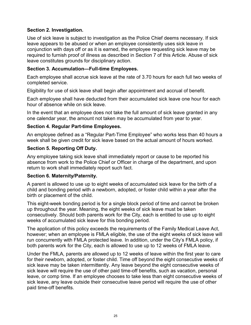## **Section 2. Investigation.**

Use of sick leave is subject to investigation as the Police Chief deems necessary. If sick leave appears to be abused or when an employee consistently uses sick leave in conjunction with days off or as it is earned, the employee requesting sick leave may be required to furnish proof of illness as described in Section 7 of this Article. Abuse of sick leave constitutes grounds for disciplinary action.

#### **Section 3. Accumulation—Full-time Employees.**

Each employee shall accrue sick leave at the rate of 3.70 hours for each full two weeks of completed service.

Eligibility for use of sick leave shall begin after appointment and accrual of benefit.

Each employee shall have deducted from their accumulated sick leave one hour for each hour of absence while on sick leave.

In the event that an employee does not take the full amount of sick leave granted in any one calendar year, the amount not taken may be accumulated from year to year.

#### **Section 4. Regular Part-time Employees.**

An employee defined as a "Regular Part-Time Employee" who works less than 40 hours a week shall be given credit for sick leave based on the actual amount of hours worked.

#### **Section 5. Reporting Off Duty.**

Any employee taking sick leave shall immediately report or cause to be reported his absence from work to the Police Chief or Officer in charge of the department, and upon return to work shall immediately report such fact.

#### **Section 6. Maternity/Paternity.**

A parent is allowed to use up to eight weeks of accumulated sick leave for the birth of a child and bonding period with a newborn, adopted, or foster child within a year after the birth or placement of the child.

This eight-week bonding period is for a single block period of time and cannot be broken up throughout the year. Meaning, the eight weeks of sick leave must be taken consecutively. Should both parents work for the City, each is entitled to use up to eight weeks of accumulated sick leave for this bonding period.

The application of this policy exceeds the requirements of the Family Medical Leave Act, however; when an employee is FMLA eligible, the use of the eight weeks of sick leave will run concurrently with FMLA protected leave. In addition, under the City's FMLA policy, if both parents work for the City, each is allowed to use up to 12 weeks of FMLA leave.

Under the FMLA, parents are allowed up to 12 weeks of leave within the first year to care for their newborn, adopted, or foster child. Time off beyond the eight consecutive weeks of sick leave may be taken intermittently. Any leave beyond the eight consecutive weeks of sick leave will require the use of other paid time-off benefits, such as vacation, personal leave, or comp time. If an employee chooses to take less than eight consecutive weeks of sick leave, any leave outside their consecutive leave period will require the use of other paid time-off benefits.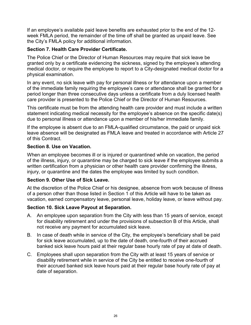If an employee's available paid leave benefits are exhausted prior to the end of the 12 week FMLA period, the remainder of the time off shall be granted as unpaid leave. See the City's FMLA policy for additional information.

## **Section 7. Health Care Provider Certificate.**

The Police Chief or the Director of Human Resources may require that sick leave be granted only by a certificate evidencing the sickness, signed by the employee's attending medical doctor, or require the employee to report to a City-designated medical doctor for a physical examination.

In any event, no sick leave with pay for personal illness or for attendance upon a member of the immediate family requiring the employee's care or attendance shall be granted for a period longer than three consecutive days unless a certificate from a duly licensed health care provider is presented to the Police Chief or the Director of Human Resources.

This certificate must be from the attending health care provider and must include a written statement indicating medical necessity for the employee's absence on the specific date(s) due to personal illness or attendance upon a member of his/her immediate family.

If the employee is absent due to an FMLA-qualified circumstance, the paid or unpaid sick leave absence will be designated as FMLA leave and treated in accordance with Article 27 of this Contract.

## **Section 8. Use on Vacation.**

When an employee becomes ill or is injured or quarantined while on vacation, the period of the illness, injury, or quarantine may be charged to sick leave if the employee submits a written certification from a physician or other health care provider confirming the illness, injury, or quarantine and the dates the employee was limited by such condition.

## **Section 9. Other Use of Sick Leave.**

At the discretion of the Police Chief or his designee, absence from work because of illness of a person other than those listed in Section 1 of this Article will have to be taken as vacation, earned compensatory leave, personal leave, holiday leave, or leave without pay.

## **Section 10. Sick Leave Payout at Separation.**

- A. An employee upon separation from the City with less than 15 years of service, except for disability retirement and under the provisions of subsection B of this Article, shall not receive any payment for accumulated sick leave.
- B. In case of death while in service of the City, the employee's beneficiary shall be paid for sick leave accumulated, up to the date of death, one-fourth of their accrued banked sick leave hours paid at their regular base hourly rate of pay at date of death.
- C. Employees shall upon separation from the City with at least 15 years of service or disability retirement while in service of the City be entitled to receive one-fourth of their accrued banked sick leave hours paid at their regular base hourly rate of pay at date of separation.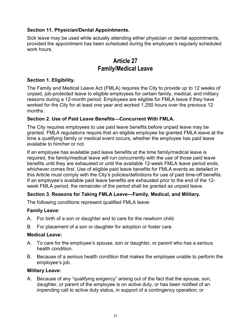## **Section 11. Physician/Dental Appointments.**

Sick leave may be used while actually attending either physician or dental appointments, provided the appointment has been scheduled during the employee's regularly scheduled work hours.

# **Article 27 Family/Medical Leave**

### **Section 1. Eligibility.**

The Family and Medical Leave Act (FMLA) requires the City to provide up to 12 weeks of unpaid, job-protected leave to eligible employees for certain family, medical, and military reasons during a 12-month period. Employees are eligible for FMLA leave if they have worked for the City for at least one year and worked 1,250 hours over the previous 12 months.

### **Section 2. Use of Paid Leave Benefits—Concurrent With FMLA.**

The City requires employees to use paid leave benefits before unpaid leave may be granted. FMLA regulations require that an eligible employee be granted FMLA leave at the time a qualifying family or medical event occurs, whether the employee has paid leave available to him/her or not.

If an employee has available paid leave benefits at the time family/medical leave is required, the family/medical leave will run concurrently with the use of those paid leave benefits until they are exhausted or until the available 12-week FMLA leave period ends, whichever comes first. Use of eligible paid leave benefits for FMLA events as detailed in this Article must comply with the City's policies/definitions for use of paid time-off benefits. If an employee's available paid leave benefits are exhausted prior to the end of the 12 week FMLA period, the remainder of the period shall be granted as unpaid leave.

## **Section 3. Reasons for Taking FMLA Leave—Family, Medical, and Military.**

The following conditions represent qualified FMLA leave:

## **Family Leave:**

- A. For birth of a son or daughter and to care for the newborn child.
- B. For placement of a son or daughter for adoption or foster care.

#### **Medical Leave:**

- A. To care for the employee's spouse, son or daughter, or parent who has a serious health condition.
- B. Because of a serious health condition that makes the employee unable to perform the employee's job.

#### **Military Leave:**

A. Because of any "qualifying exigency" arising out of the fact that the spouse, son, daughter, or parent of the employee is on active duty, or has been notified of an impending call to active duty status, in support of a contingency operation; or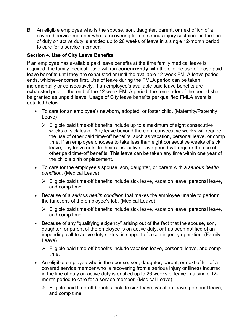B. An eligible employee who is the spouse, son, daughter, parent, or next of kin of a covered service member who is recovering from a serious injury sustained in the line of duty on active duty is entitled up to 26 weeks of leave in a single 12-month period to care for a service member.

### **Section 4. Use of City Leave Benefits.**

If an employee has available paid leave benefits at the time family medical leave is required, the family medical leave will run **concurrently** with the eligible use of those paid leave benefits until they are exhausted or until the available 12-week FMLA leave period ends, whichever comes first. Use of leave during the FMLA period can be taken incrementally or consecutively. If an employee's available paid leave benefits are exhausted prior to the end of the 12-week FMLA period, the remainder of the period shall be granted as unpaid leave. Usage of City leave benefits per qualified FMLA event is detailed below:

- To care for an employee's newborn, adopted, or foster child. (Maternity/Paternity Leave)
	- $\triangleright$  Eligible paid time-off benefits include up to a maximum of eight consecutive weeks of sick leave. Any leave beyond the eight consecutive weeks will require the use of other paid time-off benefits, such as vacation, personal leave, or comp time. If an employee chooses to take less than eight consecutive weeks of sick leave, any leave outside their consecutive leave period will require the use of other paid time-off benefits. This leave can be taken any time within one year of the child's birth or placement.
- To care for the employee's spouse, son, daughter, or parent with a *serious health condition*. (Medical Leave)
	- $\triangleright$  Eligible paid time-off benefits include sick leave, vacation leave, personal leave, and comp time.
- Because of a *serious health condition* that makes the employee unable to perform the functions of the employee's job. (Medical Leave)
	- Eligible paid time-off benefits include sick leave, vacation leave, personal leave, and comp time.
- Because of any "qualifying exigency" arising out of the fact that the spouse, son, daughter, or parent of the employee is on active duty, or has been notified of an impending call to active duty status, in support of a contingency operation. (Family Leave)
	- $\triangleright$  Eligible paid time-off benefits include vacation leave, personal leave, and comp time.
- An eligible employee who is the spouse, son, daughter, parent, or next of kin of a covered service member who is recovering from a serious injury or illness incurred in the line of duty on active duty is entitled up to 26 weeks of leave in a single 12 month period to care for a service member. (Medical Leave)
	- $\triangleright$  Eligible paid time-off benefits include sick leave, vacation leave, personal leave, and comp time.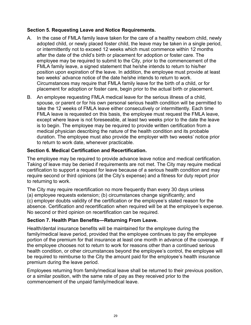### **Section 5. Requesting Leave and Notice Requirements.**

- A. In the case of FMLA family leave taken for the care of a healthy newborn child, newly adopted child, or newly placed foster child, the leave may be taken in a single period, or intermittently not to exceed 12 weeks which must commence within 12 months after the date of the child's birth or placement for adoption or foster care. The employee may be required to submit to the City, prior to the commencement of the FMLA family leave, a signed statement that he/she intends to return to his/her position upon expiration of the leave. In addition, the employee must provide at least two weeks' advance notice of the date he/she intends to return to work. Circumstances may require that FMLA family leave for the birth of a child, or for placement for adoption or foster care, begin prior to the actual birth or placement.
- B. An employee requesting FMLA medical leave for the serious illness of a child, spouse, or parent or for his own personal serious health condition will be permitted to take the 12 weeks of FMLA leave either consecutively or intermittently. Each time FMLA leave is requested on this basis, the employee must request the FMLA leave, except where leave is not foreseeable, at least two weeks prior to the date the leave is to begin. The employee may be required to provide written certification from a medical physician describing the nature of the health condition and its probable duration. The employee must also provide the employer with two weeks' notice prior to return to work date, whenever practicable.

### **Section 6. Medical Certification and Recertification.**

The employee may be required to provide advance leave notice and medical certification. Taking of leave may be denied if requirements are not met. The City may require medical certification to support a request for leave because of a serious health condition and may require second or third opinions (at the City's expense) and a fitness for duty report prior to returning to work.

The City may require recertification no more frequently than every 30 days unless (a) employee requests extension; (b) circumstances change significantly; and (c) employer doubts validity of the certification or the employee's stated reason for the absence. Certification and recertification when required will be at the employee's expense. No second or third opinion on recertification can be required.

#### **Section 7. Health Plan Benefits—Returning From Leave.**

Health/dental insurance benefits will be maintained for the employee during the family/medical leave period, provided that the employee continues to pay the employee portion of the premium for that insurance at least one month in advance of the coverage. If the employee chooses not to return to work for reasons other than a continued serious health condition, or other circumstances beyond the employee's control, the employee will be required to reimburse to the City the amount paid for the employee's health insurance premium during the leave period.

Employees returning from family/medical leave shall be returned to their previous position, or a similar position, with the same rate of pay as they received prior to the commencement of the unpaid family/medical leave.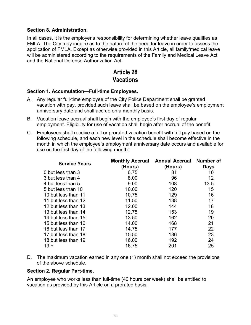#### **Section 8. Administration.**

In all cases, it is the employer's responsibility for determining whether leave qualifies as FMLA. The City may inquire as to the nature of the need for leave in order to assess the application of FMLA. Except as otherwise provided in this Article, all family/medical leave will be administered according to the requirements of the Family and Medical Leave Act and the National Defense Authorization Act.

# **Article 28 Vacations**

#### **Section 1. Accumulation—Full-time Employees.**

- A. Any regular full-time employee of the City Police Department shall be granted vacation with pay, provided such leave shall be based on the employee's employment anniversary date and shall accrue on a monthly basis.
- B. Vacation leave accrual shall begin with the employee's first day of regular employment. Eligibility for use of vacation shall begin after accrual of the benefit.
- C. Employees shall receive a full or prorated vacation benefit with full pay based on the following schedule, and each new level in the schedule shall become effective in the month in which the employee's employment anniversary date occurs and available for use on the first day of the following month:

| <b>Service Years</b> | (Hours) | Monthly Accrual Annual Accrual Number of<br>(Hours) | <b>Days</b> |
|----------------------|---------|-----------------------------------------------------|-------------|
| 0 but less than 3    | 6.75    | 81                                                  | 10          |
| 3 but less than 4    | 8.00    | 96                                                  | 12          |
| 4 but less than 5    | 9.00    | 108                                                 | 13.5        |
| 5 but less than 10   | 10.00   | 120                                                 | 15          |
| 10 but less than 11  | 10.75   | 129                                                 | 16          |
| 11 but less than 12  | 11.50   | 138                                                 | 17          |
| 12 but less than 13  | 12.00   | 144                                                 | 18          |
| 13 but less than 14  | 12.75   | 153                                                 | 19          |
| 14 but less than 15  | 13.50   | 162                                                 | 20          |
| 15 but less than 16  | 14.00   | 168                                                 | 21          |
| 16 but less than 17  | 14.75   | 177                                                 | 22          |
| 17 but less than 18  | 15.50   | 186                                                 | 23          |
| 18 but less than 19  | 16.00   | 192                                                 | 24          |
| $19 +$               | 16.75   | 201                                                 | 25          |

D. The maximum vacation earned in any one (1) month shall not exceed the provisions of the above schedule.

#### **Section 2. Regular Part-time.**

An employee who works less than full-time (40 hours per week) shall be entitled to vacation as provided by this Article on a prorated basis.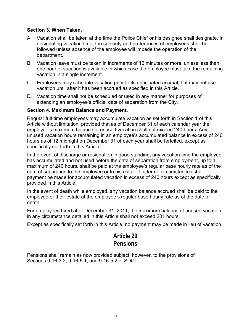### **Section 3. When Taken.**

- A. Vacation shall be taken at the time the Police Chief or his designee shall designate. In designating vacation time, the seniority and preferences of employees shall be followed unless absence of the employee will impede the operation of the department.
- B. Vacation leave must be taken in increments of 15 minutes or more, unless less than one hour of vacation is available in which case the employee must take the remaining vacation in a single increment.
- C. Employees may schedule vacation prior to its anticipated accrual, but may not use vacation until after it has been accrued as specified in this Article.
- D. Vacation time shall not be scheduled or used in any manner for purposes of extending an employee's official date of separation from the City.

#### **Section 4. Maximum Balance and Payment.**

Regular full-time employees may accumulate vacation as set forth in Section 1 of this Article without limitation, provided that as of December 31 of each calendar year the employee's maximum balance of unused vacation shall not exceed 240 hours. Any unused vacation hours remaining in an employee's accumulated balance in excess of 240 hours as of 12 midnight on December 31 of each year shall be forfeited, except as specifically set forth in this Article.

In the event of discharge or resignation in good standing, any vacation time the employee has accumulated and not used before the date of separation from employment, up to a maximum of 240 hours, shall be paid at the employee's regular base hourly rate as of the date of separation to the employee or to his estate. Under no circumstances shall payment be made for accumulated vacation in excess of 240 hours except as specifically provided in this Article.

In the event of death while employed, any vacation balance accrued shall be paid to the employee or their estate at the employee's regular base hourly rate as of the date of death.

For employees hired after December 31, 2011, the maximum balance of unused vacation in any circumstance detailed in this Article shall not exceed 201 hours.

Except as specifically set forth in this Article, no payment may be made in lieu of vacation.

# **Article 29 Pensions**

Pensions shall remain as now provided subject, however, to the provisions of Sections 9-16-3.2, 9-16-5.1, and 9-16-5.2 of SDCL.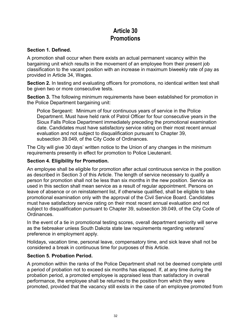# **Article 30 Promotions**

### **Section 1. Defined.**

A promotion shall occur when there exists an actual permanent vacancy within the bargaining unit which results in the movement of an employee from their present job classification to the vacant position with an increase in maximum biweekly rate of pay as provided in Article 34, Wages.

**Section 2.** In testing and evaluating officers for promotions, no identical written test shall be given two or more consecutive tests.

**Section 3.** The following minimum requirements have been established for promotion in the Police Department bargaining unit:

Police Sergeant: Minimum of four continuous years of service in the Police Department. Must have held rank of Patrol Officer for four consecutive years in the Sioux Falls Police Department immediately preceding the promotional examination date. Candidates must have satisfactory service rating on their most recent annual evaluation and not subject to disqualification pursuant to Chapter 39, subsection 39.049, of the City Code of Ordinances.

The City will give 30 days' written notice to the Union of any changes in the minimum requirements presently in effect for promotion to Police Lieutenant.

#### **Section 4. Eligibility for Promotion.**

An employee shall be eligible for promotion after actual continuous service in the position as described in Section 3 of this Article. The length of service necessary to qualify a person for promotion shall not be less than six months in the new position. Service as used in this section shall mean service as a result of regular appointment. Persons on leave of absence or on reinstatement list, if otherwise qualified, shall be eligible to take promotional examination only with the approval of the Civil Service Board. Candidates must have satisfactory service rating on their most recent annual evaluation and not subject to disqualification pursuant to Chapter 39, subsection 39.049, of the City Code of Ordinances.

In the event of a tie in promotional testing scores, overall department seniority will serve as the tiebreaker unless South Dakota state law requirements regarding veterans' preference in employment apply.

Holidays, vacation time, personal leave, compensatory time, and sick leave shall not be considered a break in continuous time for purposes of this Article.

#### **Section 5. Probation Period.**

A promotion within the ranks of the Police Department shall not be deemed complete until a period of probation not to exceed six months has elapsed. If, at any time during the probation period, a promoted employee is appraised less than satisfactory in overall performance, the employee shall be returned to the position from which they were promoted, provided that the vacancy still exists in the case of an employee promoted from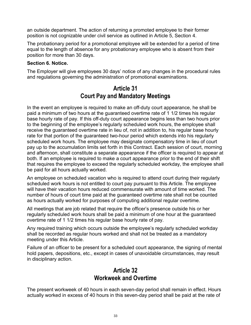an outside department. The action of returning a promoted employee to their former position is not cognizable under civil service as outlined in Article 5, Section 4.

The probationary period for a promotional employee will be extended for a period of time equal to the length of absence for any probationary employee who is absent from their position for more than 30 days.

### **Section 6. Notice.**

The Employer will give employees 30 days' notice of any changes in the procedural rules and regulations governing the administration of promotional examinations.

## **Article 31 Court Pay and Mandatory Meetings**

In the event an employee is required to make an off-duty court appearance, he shall be paid a minimum of two hours at the guaranteed overtime rate of 1 1/2 times his regular base hourly rate of pay. If this off-duty court appearance begins less than two hours prior to the beginning of the employee's regularly scheduled work hours, the employee shall receive the guaranteed overtime rate in lieu of, not in addition to, his regular base hourly rate for that portion of the guaranteed two-hour period which extends into his regularly scheduled work hours. The employee may designate compensatory time in lieu of court pay up to the accumulation limits set forth in this Contract. Each session of court, morning and afternoon, shall constitute a separate appearance if the officer is required to appear at both. If an employee is required to make a court appearance prior to the end of their shift that requires the employee to exceed the regularly scheduled workday, the employee shall be paid for all hours actually worked.

An employee on scheduled vacation who is required to attend court during their regularly scheduled work hours is not entitled to court pay pursuant to this Article. The employee will have their vacation hours reduced commensurate with amount of time worked. The number of hours of court time paid at the guaranteed overtime rate shall not be counted as hours actually worked for purposes of computing additional regular overtime.

All meetings that are job related that require the officer's presence outside his or her regularly scheduled work hours shall be paid a minimum of one hour at the guaranteed overtime rate of 1 1/2 times his regular base hourly rate of pay.

Any required training which occurs outside the employee's regularly scheduled workday shall be recorded as regular hours worked and shall not be treated as a mandatory meeting under this Article.

Failure of an officer to be present for a scheduled court appearance, the signing of mental hold papers, depositions, etc., except in cases of unavoidable circumstances, may result in disciplinary action.

## **Article 32 Workweek and Overtime**

The present workweek of 40 hours in each seven-day period shall remain in effect. Hours actually worked in excess of 40 hours in this seven-day period shall be paid at the rate of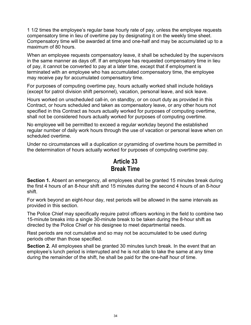1 1/2 times the employee's regular base hourly rate of pay, unless the employee requests compensatory time in lieu of overtime pay by designating it on the weekly time sheet. Compensatory time will be awarded at time and one-half and may be accumulated up to a maximum of 80 hours.

When an employee requests compensatory leave, it shall be scheduled by the supervisors in the same manner as days off. If an employee has requested compensatory time in lieu of pay, it cannot be converted to pay at a later time, except that if employment is terminated with an employee who has accumulated compensatory time, the employee may receive pay for accumulated compensatory time.

For purposes of computing overtime pay, hours actually worked shall include holidays (except for patrol division shift personnel), vacation, personal leave, and sick leave.

Hours worked on unscheduled call-in, on standby, or on court duty as provided in this Contract, or hours scheduled and taken as compensatory leave, or any other hours not specified in this Contract as hours actually worked for purposes of computing overtime, shall not be considered hours actually worked for purposes of computing overtime.

No employee will be permitted to exceed a regular workday beyond the established regular number of daily work hours through the use of vacation or personal leave when on scheduled overtime.

Under no circumstances will a duplication or pyramiding of overtime hours be permitted in the determination of hours actually worked for purposes of computing overtime pay.

# **Article 33 Break Time**

**Section 1.** Absent an emergency, all employees shall be granted 15 minutes break during the first 4 hours of an 8-hour shift and 15 minutes during the second 4 hours of an 8-hour shift.

For work beyond an eight-hour day, rest periods will be allowed in the same intervals as provided in this section.

The Police Chief may specifically require patrol officers working in the field to combine two 15-minute breaks into a single 30-minute break to be taken during the 8-hour shift as directed by the Police Chief or his designee to meet departmental needs.

Rest periods are not cumulative and so may not be accumulated to be used during periods other than those specified.

**Section 2.** All employees shall be granted 30 minutes lunch break. In the event that an employee's lunch period is interrupted and he is not able to take the same at any time during the remainder of the shift, he shall be paid for the one-half hour of time.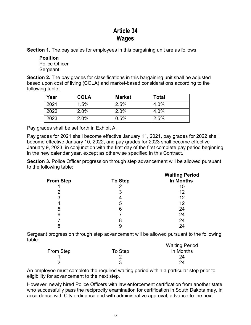# **Article 34 Wages**

**Section 1.** The pay scales for employees in this bargaining unit are as follows:

**Position** Police Officer Sergeant

**Section 2.** The pay grades for classifications in this bargaining unit shall be adjusted based upon cost of living (COLA) and market-based considerations according to the following table:

| Year | <b>COLA</b> | <b>Market</b> | Total |
|------|-------------|---------------|-------|
| 2021 | 1.5%        | 2.5%          | 4.0%  |
| 2022 | 2.0%        | 2.0%          | 4.0%  |
| 2023 | 2.0%        | 0.5%          | 2.5%  |

Pay grades shall be set forth in Exhibit A.

Pay grades for 2021 shall become effective January 11, 2021, pay grades for 2022 shall become effective January 10, 2022, and pay grades for 2023 shall become effective January 9, 2023, in conjunction with the first day of the first complete pay period beginning in the new calendar year, except as otherwise specified in this Contract.

**Section 3.** Police Officer progression through step advancement will be allowed pursuant to the following table:

|                  |                | <b>Waiting Period</b> |  |  |  |
|------------------|----------------|-----------------------|--|--|--|
| <b>From Step</b> | <b>To Step</b> | In Months             |  |  |  |
|                  | ⌒              | 15                    |  |  |  |
| 2                | 3              | 12                    |  |  |  |
| 3                | 4              | 12                    |  |  |  |
| 4                | 5              | 12                    |  |  |  |
| 5                | 6              | 24                    |  |  |  |
| 6                |                | 24                    |  |  |  |
|                  | 8              | 24                    |  |  |  |
|                  | y              | 24                    |  |  |  |
|                  |                |                       |  |  |  |

Sergeant progression through step advancement will be allowed pursuant to the following table:

|           |         | <b>Waiting Period</b> |
|-----------|---------|-----------------------|
| From Step | To Step | In Months             |
|           |         | 24                    |
| ◠         |         | 24                    |

An employee must complete the required waiting period within a particular step prior to eligibility for advancement to the next step.

However, newly hired Police Officers with law enforcement certification from another state who successfully pass the reciprocity examination for certification in South Dakota may, in accordance with City ordinance and with administrative approval, advance to the next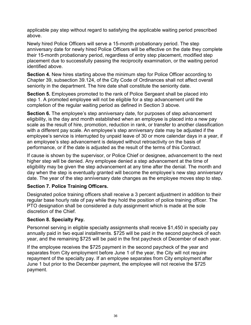applicable pay step without regard to satisfying the applicable waiting period prescribed above.

Newly hired Police Officers will serve a 15-month probationary period. The step anniversary date for newly hired Police Officers will be effective on the date they complete their 15-month probationary period, regardless of entry step placement, modified step placement due to successfully passing the reciprocity examination, or the waiting period identified above.

**Section 4.** New hires starting above the minimum step for Police Officer according to Chapter 39, subsection 39.124, of the City Code of Ordinances shall not affect overall seniority in the department. The hire date shall constitute the seniority date.

**Section 5.** Employees promoted to the rank of Police Sergeant shall be placed into step 1. A promoted employee will not be eligible for a step advancement until the completion of the regular waiting period as defined in Section 3 above.

**Section 6.** The employee's step anniversary date, for purposes of step advancement eligibility, is the day and month established when an employee is placed into a new pay scale as the result of hire, promotion, reduction in rank, or transfer to another classification with a different pay scale. An employee's step anniversary date may be adjusted if the employee's service is interrupted by unpaid leave of 30 or more calendar days in a year, if an employee's step advancement is delayed without retroactivity on the basis of performance, or if the date is adjusted as the result of the terms of this Contract.

If cause is shown by the supervisor, or Police Chief or designee, advancement to the next higher step will be denied. Any employee denied a step advancement at the time of eligibility may be given the step advancement at any time after the denial. The month and day when the step is eventually granted will become the employee's new step anniversary date. The year of the step anniversary date changes as the employee moves step to step.

#### **Section 7. Police Training Officers.**

Designated police training officers shall receive a 3 percent adjustment in addition to their regular base hourly rate of pay while they hold the position of police training officer. The PTO designation shall be considered a duty assignment which is made at the sole discretion of the Chief.

#### **Section 8. Specialty Pay.**

Personnel serving in eligible specialty assignments shall receive \$1,450 in specialty pay annually paid in two equal installments. \$725 will be paid in the second paycheck of each year, and the remaining \$725 will be paid in the first paycheck of December of each year.

If the employee receives the \$725 payment in the second paycheck of the year and separates from City employment before June 1 of the year, the City will not require repayment of the specialty pay. If an employee separates from City employment after June 1 but prior to the December payment, the employee will not receive the \$725 payment.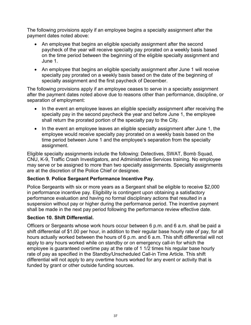The following provisions apply if an employee begins a specialty assignment after the payment dates noted above:

- An employee that begins an eligible specialty assignment after the second paycheck of the year will receive specialty pay prorated on a weekly basis based on the time period between the beginning of the eligible specialty assignment and June 1.
- An employee that begins an eligible specialty assignment after June 1 will receive specialty pay prorated on a weekly basis based on the date of the beginning of specialty assignment and the first paycheck of December.

The following provisions apply if an employee ceases to serve in a specialty assignment after the payment dates noted above due to reasons other than performance, discipline, or separation of employment:

- In the event an employee leaves an eligible specialty assignment after receiving the specialty pay in the second paycheck the year and before June 1, the employee shall return the prorated portion of the specialty pay to the City.
- In the event an employee leaves an eligible specialty assignment after June 1, the employee would receive specialty pay prorated on a weekly basis based on the time period between June 1 and the employee's separation from the specialty assignment.

Eligible specialty assignments include the following: Detectives, SWAT, Bomb Squad, CNU, K-9, Traffic Crash Investigators, and Administrative Services training. No employee may serve or be assigned to more than two specialty assignments. Specialty assignments are at the discretion of the Police Chief or designee.

## **Section 9. Police Sergeant Performance Incentive Pay.**

Police Sergeants with six or more years as a Sergeant shall be eligible to receive \$2,000 in performance incentive pay. Eligibility is contingent upon obtaining a satisfactory performance evaluation and having no formal disciplinary actions that resulted in a suspension without pay or higher during the performance period. The incentive payment shall be made in the next pay period following the performance review effective date.

#### **Section 10. Shift Differential.**

Officers or Sergeants whose work hours occur between 6 p.m. and 6 a.m. shall be paid a shift differential of \$1.00 per hour, in addition to their regular base hourly rate of pay, for all hours actually worked between the hours of 6 p.m. and 6 a.m. This shift differential will not apply to any hours worked while on standby or on emergency call-in for which the employee is guaranteed overtime pay at the rate of 1 1/2 times his regular base hourly rate of pay as specified in the Standby/Unscheduled Call-in Time Article. This shift differential will not apply to any overtime hours worked for any event or activity that is funded by grant or other outside funding sources.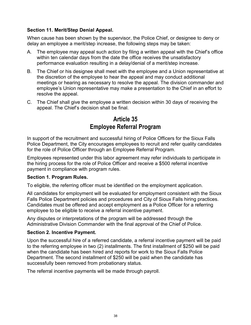### **Section 11. Merit/Step Denial Appeal.**

When cause has been shown by the supervisor, the Police Chief, or designee to deny or delay an employee a merit/step increase, the following steps may be taken:

- A. The employee may appeal such action by filing a written appeal with the Chief's office within ten calendar days from the date the office receives the unsatisfactory performance evaluation resulting in a delay/denial of a merit/step increase.
- B. The Chief or his designee shall meet with the employee and a Union representative at the discretion of the employee to hear the appeal and may conduct additional meetings or hearing as necessary to resolve the appeal. The division commander and employee's Union representative may make a presentation to the Chief in an effort to resolve the appeal.
- C. The Chief shall give the employee a written decision within 30 days of receiving the appeal. The Chief's decision shall be final.

## **Article 35 Employee Referral Program**

In support of the recruitment and successful hiring of Police Officers for the Sioux Falls Police Department, the City encourages employees to recruit and refer quality candidates for the role of Police Officer through an Employee Referral Program.

Employees represented under this labor agreement may refer individuals to participate in the hiring process for the role of Police Officer and receive a \$500 referral incentive payment in compliance with program rules.

#### **Section 1. Program Rules.**

To eligible, the referring officer must be identified on the employment application.

All candidates for employment will be evaluated for employment consistent with the Sioux Falls Police Department policies and procedures and City of Sioux Falls hiring practices. Candidates must be offered and accept employment as a Police Officer for a referring employee to be eligible to receive a referral incentive payment.

Any disputes or interpretations of the program will be addressed through the Administrative Division Commander with the final approval of the Chief of Police.

#### **Section 2. Incentive Payment.**

Upon the successful hire of a referred candidate, a referral incentive payment will be paid to the referring employee in two (2) installments. The first installment of \$250 will be paid when the candidate has been hired and reports for work to the Sioux Falls Police Department. The second installment of \$250 will be paid when the candidate has successfully been removed from probationary status.

The referral incentive payments will be made through payroll.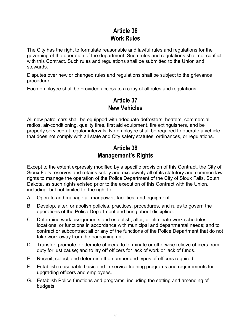# **Article 36 Work Rules**

The City has the right to formulate reasonable and lawful rules and regulations for the governing of the operation of the department. Such rules and regulations shall not conflict with this Contract. Such rules and regulations shall be submitted to the Union and stewards.

Disputes over new or changed rules and regulations shall be subject to the grievance procedure.

Each employee shall be provided access to a copy of all rules and regulations.

# **Article 37 New Vehicles**

All new patrol cars shall be equipped with adequate defrosters, heaters, commercial radios, air-conditioning, quality tires, first aid equipment, fire extinguishers, and be properly serviced at regular intervals. No employee shall be required to operate a vehicle that does not comply with all state and City safety statutes, ordinances, or regulations.

# **Article 38 Management's Rights**

Except to the extent expressly modified by a specific provision of this Contract, the City of Sioux Falls reserves and retains solely and exclusively all of its statutory and common law rights to manage the operation of the Police Department of the City of Sioux Falls, South Dakota, as such rights existed prior to the execution of this Contract with the Union, including, but not limited to, the right to:

- A. Operate and manage all manpower, facilities, and equipment.
- B. Develop, alter, or abolish policies, practices, procedures, and rules to govern the operations of the Police Department and bring about discipline.
- C. Determine work assignments and establish, alter, or eliminate work schedules, locations, or functions in accordance with municipal and departmental needs; and to contract or subcontract all or any of the functions of the Police Department that do not take work away from the bargaining unit.
- D. Transfer, promote, or demote officers; to terminate or otherwise relieve officers from duty for just cause; and to lay off officers for lack of work or lack of funds.
- E. Recruit, select, and determine the number and types of officers required.
- F. Establish reasonable basic and in-service training programs and requirements for upgrading officers and employees.
- G. Establish Police functions and programs, including the setting and amending of budgets.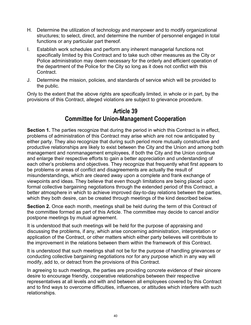- H. Determine the utilization of technology and manpower and to modify organizational structures; to select, direct, and determine the number of personnel engaged in total functions or any particular part thereof.
- I. Establish work schedules and perform any inherent managerial functions not specifically limited by this Contract and to take such other measures as the City or Police administration may deem necessary for the orderly and efficient operation of the department of the Police for the City so long as it does not conflict with this Contract.
- J. Determine the mission, policies, and standards of service which will be provided to the public.

Only to the extent that the above rights are specifically limited, in whole or in part, by the provisions of this Contract, alleged violations are subject to grievance procedure.

# **Article 39 Committee for Union-Management Cooperation**

**Section 1.** The parties recognize that during the period in which this Contract is in effect, problems of administration of this Contract may arise which are not now anticipated by either party. They also recognize that during such period more mutually constructive and productive relationships are likely to exist between the City and the Union and among both management and nonmanagement employees, if both the City and the Union continue and enlarge their respective efforts to gain a better appreciation and understanding of each other's problems and objectives. They recognize that frequently what first appears to be problems or areas of conflict and disagreements are actually the result of misunderstandings, which are cleared away upon a complete and frank exchange of viewpoints and ideas. They believe that even though limitations are being placed upon formal collective bargaining negotiations through the extended period of this Contract, a better atmosphere in which to achieve improved day-to-day relations between the parties, which they both desire, can be created through meetings of the kind described below.

**Section 2.** Once each month, meetings shall be held during the term of this Contract of the committee formed as part of this Article. The committee may decide to cancel and/or postpone meetings by mutual agreement.

It is understood that such meetings will be held for the purpose of appraising and discussing the problems, if any, which arise concerning administration, interpretation or application of the Contract, or other matters which either party believes will contribute to the improvement in the relations between them within the framework of this Contract.

It is understood that such meetings shall not be for the purpose of handling grievances or conducting collective bargaining negotiations nor for any purpose which in any way will modify, add to, or detract from the provisions of this Contract.

In agreeing to such meetings, the parties are providing concrete evidence of their sincere desire to encourage friendly, cooperative relationships between their respective representatives at all levels and with and between all employees covered by this Contract and to find ways to overcome difficulties, influences, or attitudes which interfere with such relationships.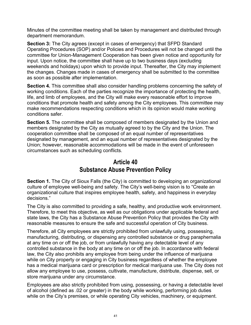Minutes of the committee meeting shall be taken by management and distributed through department memorandum.

**Section 3:** The City agrees (except in cases of emergency) that SFPD Standard Operating Procedures (SOP) and/or Policies and Procedures will not be changed until the committee for Union-Management Cooperation has been given notice and opportunity for input. Upon notice, the committee shall have up to two business days (excluding weekends and holidays) upon which to provide input. Thereafter, the City may implement the changes. Changes made in cases of emergency shall be submitted to the committee as soon as possible after implementation.

**Section 4.** This committee shall also consider handling problems concerning the safety of working conditions. Each of the parties recognize the importance of protecting the health, life, and limb of employees, and the City will make every reasonable effort to improve conditions that promote health and safety among the City employees. This committee may make recommendations respecting conditions which in its opinion would make working conditions safer.

**Section 5.** The committee shall be composed of members designated by the Union and members designated by the City as mutually agreed to by the City and the Union. The cooperation committee shall be composed of an equal number of representatives designated by management, and an equal number of representatives designated by the Union; however, reasonable accommodations will be made in the event of unforeseen circumstances such as scheduling conflicts.

# **Article 40 Substance Abuse Prevention Policy**

**Section 1.** The City of Sioux Falls (the City) is committed to developing an organizational culture of employee well-being and safety. The City's well-being vision is to "Create an organizational culture that inspires employee health, safety, and happiness in everyday decisions."

The City is also committed to providing a safe, healthy, and productive work environment. Therefore, to meet this objective, as well as our obligations under applicable federal and state laws, the City has a Substance Abuse Prevention Policy that provides the City with reasonable measures to ensure the safe and successful operation of City business.

Therefore, all City employees are strictly prohibited from unlawfully using, possessing, manufacturing, distributing, or dispensing any controlled substance or drug paraphernalia at any time on or off the job, or from unlawfully having any detectable level of any controlled substance in the body at any time on or off the job. In accordance with federal law, the City also prohibits any employee from being under the influence of marijuana while on City property or engaging in City business regardless of whether the employee has a medical marijuana card or prescription for medical marijuana use. The City does not allow any employee to use, possess, cultivate, manufacture, distribute, dispense, sell, or store marijuana under any circumstance.

Employees are also strictly prohibited from using, possessing, or having a detectable level of alcohol (defined as .02 or greater) in the body while working, performing job duties while on the City's premises, or while operating City vehicles, machinery, or equipment.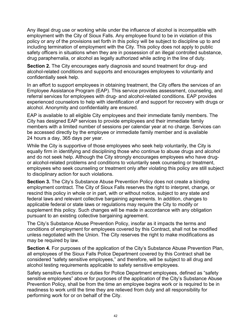Any illegal drug use or working while under the influence of alcohol is incompatible with employment with the City of Sioux Falls. Any employee found to be in violation of this policy or any of the provisions set forth in this policy will be subject to discipline up to and including termination of employment with the City. This policy does not apply to public safety officers in situations when they are in possession of an illegal controlled substance, drug paraphernalia, or alcohol as legally authorized while acting in the line of duty.

**Section 2.** The City encourages early diagnosis and sound treatment for drug- and alcohol-related conditions and supports and encourages employees to voluntarily and confidentially seek help.

In an effort to support employees in obtaining treatment, the City offers the services of an Employee Assistance Program (EAP). This service provides assessment, counseling, and referral services for employees with drug- and alcohol-related conditions. EAP provides experienced counselors to help with identification of and support for recovery with drugs or alcohol. Anonymity and confidentiality are ensured.

EAP is available to all eligible City employees and their immediate family members. The City has designed EAP services to provide employees and their immediate family members with a limited number of sessions per calendar year at no charge. Services can be accessed directly by the employee or immediate family member and is available 24 hours a day, 365 days per year.

While the City is supportive of those employees who seek help voluntarily, the City is equally firm in identifying and disciplining those who continue to abuse drugs and alcohol and do not seek help. Although the City strongly encourages employees who have drugor alcohol-related problems and conditions to voluntarily seek counseling or treatment, employees who seek counseling or treatment only after violating this policy are still subject to disciplinary action for such violations.

**Section 3.** The City's Substance Abuse Prevention Policy does not create a binding employment contract. The City of Sioux Falls reserves the right to interpret, change, or rescind this policy in whole or in part, with or without notice, subject to any state and federal laws and relevant collective bargaining agreements. In addition, changes to applicable federal or state laws or regulations may require the City to modify or supplement this policy. Such changes will be made in accordance with any obligation pursuant to an existing collective bargaining agreement.

The City's Substance Abuse Prevention Policy, insofar as it impacts the terms and conditions of employment for employees covered by this Contract, shall not be modified unless negotiated with the Union. The City reserves the right to make modifications as may be required by law.

**Section 4.** For purposes of the application of the City's Substance Abuse Prevention Plan, all employees of the Sioux Falls Police Department covered by this Contract shall be considered "safety sensitive employees," and therefore, will be subject to all drug and alcohol testing requirements applicable to safety sensitive employees.

Safety sensitive functions or duties for Police Department employees, defined as "safety sensitive employees" above for purposes of the application of the City's Substance Abuse Prevention Policy, shall be from the time an employee begins work or is required to be in readiness to work until the time they are relieved from duty and all responsibility for performing work for or on behalf of the City.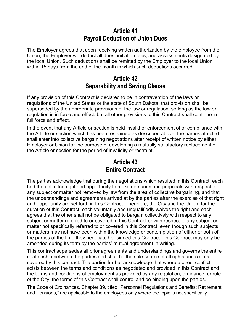## **Article 41 Payroll Deduction of Union Dues**

The Employer agrees that upon receiving written authorization by the employee from the Union, the Employer will deduct all dues, initiation fees, and assessments designated by the local Union. Such deductions shall be remitted by the Employer to the local Union within 15 days from the end of the month in which such deductions occurred.

# **Article 42 Separability and Saving Clause**

If any provision of this Contract is declared to be in contravention of the laws or regulations of the United States or the state of South Dakota, that provision shall be superseded by the appropriate provisions of the law or regulation, so long as the law or regulation is in force and effect, but all other provisions to this Contract shall continue in full force and effect.

In the event that any Article or section is held invalid or enforcement of or compliance with the Article or section which has been restrained as described above, the parties affected shall enter into collective bargaining negotiations after receipt of written notice by either Employer or Union for the purpose of developing a mutually satisfactory replacement of the Article or section for the period of invalidity or restraint.

# **Article 43 Entire Contract**

The parties acknowledge that during the negotiations which resulted in this Contract, each had the unlimited right and opportunity to make demands and proposals with respect to any subject or matter not removed by law from the area of collective bargaining, and that the understandings and agreements arrived at by the parties after the exercise of that right and opportunity are set forth in this Contract. Therefore, the City and the Union, for the duration of this Contract, each voluntarily and unqualifiedly waives the right and each agrees that the other shall not be obligated to bargain collectively with respect to any subject or matter referred to or covered in this Contract or with respect to any subject or matter not specifically referred to or covered in this Contract, even though such subjects or matters may not have been within the knowledge or contemplation of either or both of the parties at the time they negotiated or signed this Contract. This Contract may only be amended during its term by the parties' mutual agreement in writing.

This contract supersedes all prior agreements and understandings and governs the entire relationship between the parties and shall be the sole source of all rights and claims covered by this contract. The parties further acknowledge that where a direct conflict exists between the terms and conditions as negotiated and provided in this Contract and the terms and conditions of employment as provided by any regulation, ordinance, or rule of the City, the terms of this Contract shall control and be binding upon the parties.

The Code of Ordinances, Chapter 39, titled "Personnel Regulations and Benefits; Retirement and Pensions," are applicable to the employees only where the topic is not specifically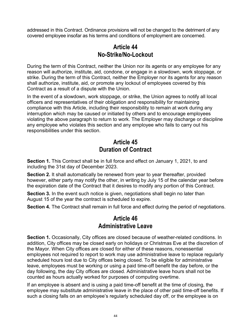addressed in this Contract. Ordinance provisions will not be changed to the detriment of any covered employee insofar as his terms and conditions of employment are concerned.

# **Article 44 No-Strike/No-Lockout**

During the term of this Contract, neither the Union nor its agents or any employee for any reason will authorize, institute, aid, condone, or engage in a slowdown, work stoppage, or strike. During the term of this Contract, neither the Employer nor its agents for any reason shall authorize, institute, aid, or promote any lockout of employees covered by this Contract as a result of a dispute with the Union.

In the event of a slowdown, work stoppage, or strike, the Union agrees to notify all local officers and representatives of their obligation and responsibility for maintaining compliance with this Article, including their responsibility to remain at work during any interruption which may be caused or initiated by others and to encourage employees violating the above paragraph to return to work. The Employer may discharge or discipline any employee who violates this section and any employee who fails to carry out his responsibilities under this section.

# **Article 45 Duration of Contract**

**Section 1.** This Contract shall be in full force and effect on January 1, 2021, to and including the 31st day of December 2023.

**Section 2.** It shall automatically be renewed from year to year thereafter, provided however, either party may notify the other, in writing by July 15 of the calendar year before the expiration date of the Contract that it desires to modify any portion of this Contract.

**Section 3.** In the event such notice is given, negotiations shall begin no later than August 15 of the year the contract is scheduled to expire.

**Section 4.** The Contract shall remain in full force and effect during the period of negotiations.

# **Article 46 Administrative Leave**

**Section 1.** Occasionally, City offices are closed because of weather-related conditions. In addition, City offices may be closed early on holidays or Christmas Eve at the discretion of the Mayor. When City offices are closed for either of these reasons, nonessential employees not required to report to work may use administrative leave to replace regularly scheduled hours lost due to City offices being closed. To be eligible for administrative leave, employees must be working or using a paid time-off benefit the day before, or the day following, the day City offices are closed. Administrative leave hours shall not be counted as hours actually worked for purposes of computing overtime.

If an employee is absent and is using a paid time-off benefit at the time of closing, the employee may substitute administrative leave in the place of other paid time-off benefits. If such a closing falls on an employee's regularly scheduled day off, or the employee is on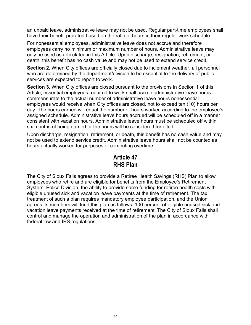an unpaid leave, administrative leave may not be used. Regular part-time employees shall have their benefit prorated based on the ratio of hours in their regular work schedule.

For nonessential employees, administrative leave does not accrue and therefore employees carry no minimum or maximum number of hours. Administrative leave may only be used as articulated in this Article. Upon discharge, resignation, retirement, or death, this benefit has no cash value and may not be used to extend service credit.

**Section 2.** When City offices are officially closed due to inclement weather, all personnel who are determined by the department/division to be essential to the delivery of public services are expected to report to work.

**Section 3.** When City offices are closed pursuant to the provisions in Section 1 of this Article, essential employees required to work shall accrue administrative leave hours commensurate to the actual number of administrative leave hours nonessential employees would receive when City offices are closed, not to exceed ten (10) hours per day. The hours earned will equal the number of hours worked according to the employee's assigned schedule. Administrative leave hours accrued will be scheduled off in a manner consistent with vacation hours. Administrative leave hours must be scheduled off within six months of being earned or the hours will be considered forfeited.

Upon discharge, resignation, retirement, or death, this benefit has no cash value and may not be used to extend service credit. Administrative leave hours shall not be counted as hours actually worked for purposes of computing overtime.

# **Article 47 RHS Plan**

The City of Sioux Falls agrees to provide a Retiree Health Savings (RHS) Plan to allow employees who retire and are eligible for benefits from the Employee's Retirement System, Police Division, the ability to provide some funding for retiree health costs with eligible unused sick and vacation leave payments at the time of retirement. The tax treatment of such a plan requires mandatory employee participation, and the Union agrees its members will fund this plan as follows: 100 percent of eligible unused sick and vacation leave payments received at the time of retirement. The City of Sioux Falls shall control and manage the operation and administration of the plan in accordance with federal law and IRS regulations.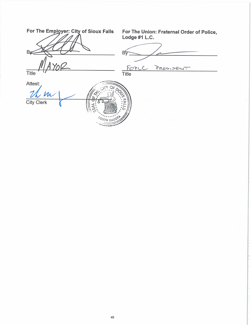| For The Employer: City of Sioux Falls | For The Union: Fraternal Order of Police,<br>Lodge #1 L.C. |
|---------------------------------------|------------------------------------------------------------|
|                                       | В                                                          |
| <b>Title</b>                          | PRESIDENT<br>FORLC<br><b>Title</b>                         |
| Attest:<br>$\mu$                      |                                                            |
| <b>City Clerk</b>                     |                                                            |
|                                       |                                                            |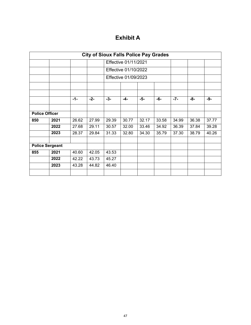# **Exhibit A**

| <b>City of Sioux Falls Police Pay Grades</b> |      |       |       |                      |                      |       |       |       |       |       |
|----------------------------------------------|------|-------|-------|----------------------|----------------------|-------|-------|-------|-------|-------|
|                                              |      |       |       | Effective 01/11/2021 |                      |       |       |       |       |       |
|                                              |      |       |       |                      | Effective 01/10/2022 |       |       |       |       |       |
|                                              |      |       |       |                      | Effective 01/09/2023 |       |       |       |       |       |
|                                              |      |       |       |                      |                      |       |       |       |       |       |
|                                              |      | $-1-$ | $-2-$ | $-3-$                | $-4-$                | $-5-$ | -6-   | $-7-$ | -8-   | -9-   |
|                                              |      |       |       |                      |                      |       |       |       |       |       |
| <b>Police Officer</b>                        |      |       |       |                      |                      |       |       |       |       |       |
| 850                                          | 2021 | 26.62 | 27.99 | 29.39                | 30.77                | 32.17 | 33.58 | 34.99 | 36.38 | 37.77 |
|                                              | 2022 | 27.68 | 29.11 | 30.57                | 32.00                | 33.46 | 34.92 | 36.39 | 37.84 | 39.28 |
|                                              | 2023 | 28.37 | 29.84 | 31.33                | 32.80                | 34.30 | 35.79 | 37.30 | 38.79 | 40.26 |
|                                              |      |       |       |                      |                      |       |       |       |       |       |
| <b>Police Sergeant</b>                       |      |       |       |                      |                      |       |       |       |       |       |
| 855                                          | 2021 | 40.60 | 42.05 | 43.53                |                      |       |       |       |       |       |
|                                              | 2022 | 42.22 | 43.73 | 45.27                |                      |       |       |       |       |       |
|                                              | 2023 | 43.28 | 44.82 | 46.40                |                      |       |       |       |       |       |
|                                              |      |       |       |                      |                      |       |       |       |       |       |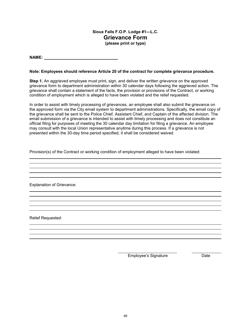#### **Sioux Falls F.O.P. Lodge #1—L.C. Grievance Form (please print or type)**

**NAME:** 

#### **Note: Employees should reference Article 20 of the contract for complete grievance procedure.**

**Step 1.** An aggrieved employee must print, sign, and deliver the written grievance on the approved grievance form to department administration within 30 calendar days following the aggrieved action. The grievance shall contain a statement of the facts, the provision or provisions of the Contract, or working condition of employment which is alleged to have been violated and the relief requested.

In order to assist with timely processing of grievances, an employee shall also submit the grievance on the approved form via the City email system to department administrations. Specifically, the email copy of the grievance shall be sent to the Police Chief, Assistant Chief, and Captain of the affected division. The email submission of a grievance is intended to assist with timely processing and does not constitute an official filing for purposes of meeting the 30 calendar day limitation for filing a grievance. An employee may consult with the local Union representative anytime during this process. If a grievance is not presented within the 30-day time period specified, it shall be considered waived.

and the control of the control of the control of the control of the control of the control of the control of the

Provision(s) of the Contract or working condition of employment alleged to have been violated:

Explanation of Grievance:

Relief Requested:

Employee's Signature Date